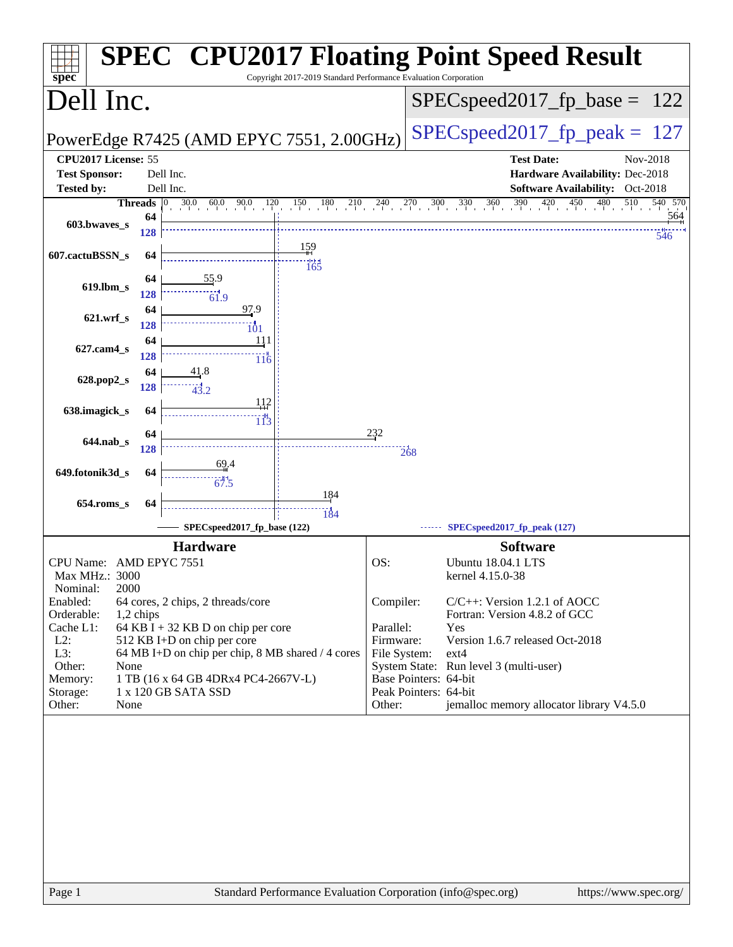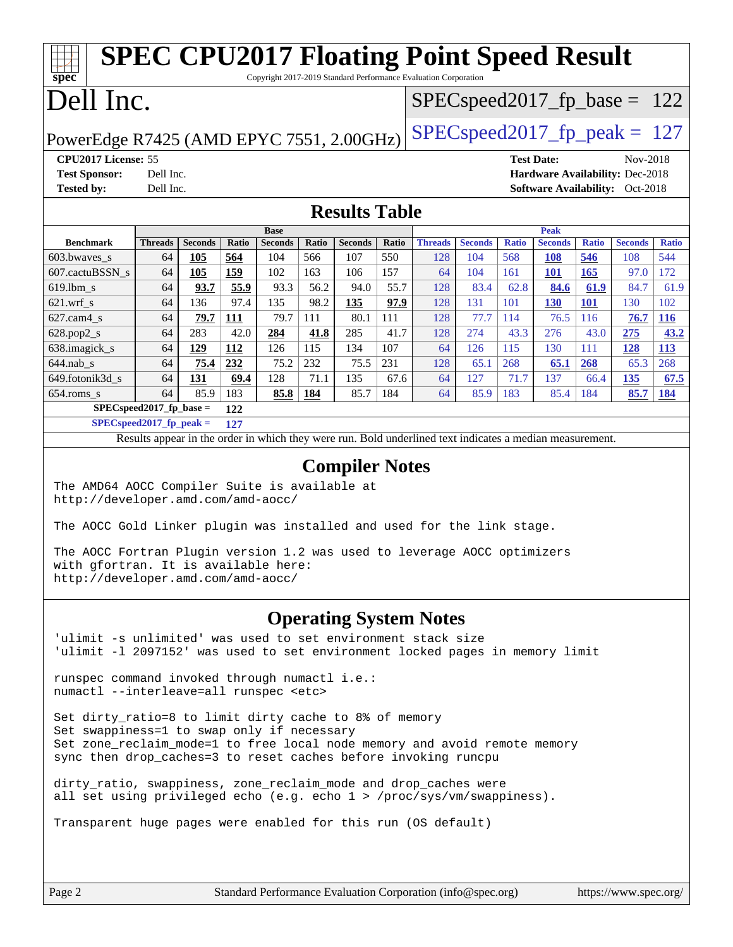### **[spec](http://www.spec.org/) [SPEC CPU2017 Floating Point Speed Result](http://www.spec.org/auto/cpu2017/Docs/result-fields.html#SPECCPU2017FloatingPointSpeedResult)** Copyright 2017-2019 Standard Performance Evaluation Corporation Dell Inc. PowerEdge R7425 (AMD EPYC 7551, 2.00GHz) [SPECspeed2017\\_fp\\_peak =](http://www.spec.org/auto/cpu2017/Docs/result-fields.html#SPECspeed2017fppeak)  $127$  $SPEC speed2017_fp\_base = 122$ **[CPU2017 License:](http://www.spec.org/auto/cpu2017/Docs/result-fields.html#CPU2017License)** 55 **[Test Date:](http://www.spec.org/auto/cpu2017/Docs/result-fields.html#TestDate)** Nov-2018 **[Test Sponsor:](http://www.spec.org/auto/cpu2017/Docs/result-fields.html#TestSponsor)** Dell Inc. **[Hardware Availability:](http://www.spec.org/auto/cpu2017/Docs/result-fields.html#HardwareAvailability)** Dec-2018 **[Tested by:](http://www.spec.org/auto/cpu2017/Docs/result-fields.html#Testedby)** Dell Inc. **[Software Availability:](http://www.spec.org/auto/cpu2017/Docs/result-fields.html#SoftwareAvailability)** Oct-2018 **[Results Table](http://www.spec.org/auto/cpu2017/Docs/result-fields.html#ResultsTable) [Benchmark](http://www.spec.org/auto/cpu2017/Docs/result-fields.html#Benchmark) [Threads](http://www.spec.org/auto/cpu2017/Docs/result-fields.html#Threads) [Seconds](http://www.spec.org/auto/cpu2017/Docs/result-fields.html#Seconds) [Ratio](http://www.spec.org/auto/cpu2017/Docs/result-fields.html#Ratio) [Seconds](http://www.spec.org/auto/cpu2017/Docs/result-fields.html#Seconds) [Ratio](http://www.spec.org/auto/cpu2017/Docs/result-fields.html#Ratio) [Seconds](http://www.spec.org/auto/cpu2017/Docs/result-fields.html#Seconds) [Ratio](http://www.spec.org/auto/cpu2017/Docs/result-fields.html#Ratio) Base [Threads](http://www.spec.org/auto/cpu2017/Docs/result-fields.html#Threads) [Seconds](http://www.spec.org/auto/cpu2017/Docs/result-fields.html#Seconds) [Ratio](http://www.spec.org/auto/cpu2017/Docs/result-fields.html#Ratio) [Seconds](http://www.spec.org/auto/cpu2017/Docs/result-fields.html#Seconds) [Ratio](http://www.spec.org/auto/cpu2017/Docs/result-fields.html#Ratio) [Seconds](http://www.spec.org/auto/cpu2017/Docs/result-fields.html#Seconds) [Ratio](http://www.spec.org/auto/cpu2017/Docs/result-fields.html#Ratio) Peak** [603.bwaves\\_s](http://www.spec.org/auto/cpu2017/Docs/benchmarks/603.bwaves_s.html) 64 **[105](http://www.spec.org/auto/cpu2017/Docs/result-fields.html#Median) [564](http://www.spec.org/auto/cpu2017/Docs/result-fields.html#Median)** 104 566 107 550 128 104 568 **[108](http://www.spec.org/auto/cpu2017/Docs/result-fields.html#Median) [546](http://www.spec.org/auto/cpu2017/Docs/result-fields.html#Median)** 108 544 [607.cactuBSSN\\_s](http://www.spec.org/auto/cpu2017/Docs/benchmarks/607.cactuBSSN_s.html) 64 **[105](http://www.spec.org/auto/cpu2017/Docs/result-fields.html#Median) [159](http://www.spec.org/auto/cpu2017/Docs/result-fields.html#Median)** 102 163 106 157 64 104 161 **[101](http://www.spec.org/auto/cpu2017/Docs/result-fields.html#Median) [165](http://www.spec.org/auto/cpu2017/Docs/result-fields.html#Median)** 97.0 172 [619.lbm\\_s](http://www.spec.org/auto/cpu2017/Docs/benchmarks/619.lbm_s.html) 64 **[93.7](http://www.spec.org/auto/cpu2017/Docs/result-fields.html#Median) [55.9](http://www.spec.org/auto/cpu2017/Docs/result-fields.html#Median)** 93.3 56.2 94.0 55.7 128 83.4 62.8 **[84.6](http://www.spec.org/auto/cpu2017/Docs/result-fields.html#Median) [61.9](http://www.spec.org/auto/cpu2017/Docs/result-fields.html#Median)** 84.7 61.9 [621.wrf\\_s](http://www.spec.org/auto/cpu2017/Docs/benchmarks/621.wrf_s.html) 64 136 97.4 135 98.2 **[135](http://www.spec.org/auto/cpu2017/Docs/result-fields.html#Median) [97.9](http://www.spec.org/auto/cpu2017/Docs/result-fields.html#Median)** 128 131 101 **[130](http://www.spec.org/auto/cpu2017/Docs/result-fields.html#Median) [101](http://www.spec.org/auto/cpu2017/Docs/result-fields.html#Median)** 130 102 [627.cam4\\_s](http://www.spec.org/auto/cpu2017/Docs/benchmarks/627.cam4_s.html) 64 **[79.7](http://www.spec.org/auto/cpu2017/Docs/result-fields.html#Median) [111](http://www.spec.org/auto/cpu2017/Docs/result-fields.html#Median)** 79.7 111 80.1 111 128 77.7 114 76.5 116 **[76.7](http://www.spec.org/auto/cpu2017/Docs/result-fields.html#Median) [116](http://www.spec.org/auto/cpu2017/Docs/result-fields.html#Median)** [628.pop2\\_s](http://www.spec.org/auto/cpu2017/Docs/benchmarks/628.pop2_s.html) 64 283 42.0 **[284](http://www.spec.org/auto/cpu2017/Docs/result-fields.html#Median) [41.8](http://www.spec.org/auto/cpu2017/Docs/result-fields.html#Median)** 285 41.7 128 274 43.3 276 43.0 **[275](http://www.spec.org/auto/cpu2017/Docs/result-fields.html#Median) [43.2](http://www.spec.org/auto/cpu2017/Docs/result-fields.html#Median)** [638.imagick\\_s](http://www.spec.org/auto/cpu2017/Docs/benchmarks/638.imagick_s.html) 64 **[129](http://www.spec.org/auto/cpu2017/Docs/result-fields.html#Median) [112](http://www.spec.org/auto/cpu2017/Docs/result-fields.html#Median)** 126 115 134 107 64 126 115 130 111 **[128](http://www.spec.org/auto/cpu2017/Docs/result-fields.html#Median) [113](http://www.spec.org/auto/cpu2017/Docs/result-fields.html#Median)** [644.nab\\_s](http://www.spec.org/auto/cpu2017/Docs/benchmarks/644.nab_s.html) 64 **[75.4](http://www.spec.org/auto/cpu2017/Docs/result-fields.html#Median) [232](http://www.spec.org/auto/cpu2017/Docs/result-fields.html#Median)** 75.2 232 75.5 231 128 65.1 268 **[65.1](http://www.spec.org/auto/cpu2017/Docs/result-fields.html#Median) [268](http://www.spec.org/auto/cpu2017/Docs/result-fields.html#Median)** 65.3 268 [649.fotonik3d\\_s](http://www.spec.org/auto/cpu2017/Docs/benchmarks/649.fotonik3d_s.html) 64 **[131](http://www.spec.org/auto/cpu2017/Docs/result-fields.html#Median) [69.4](http://www.spec.org/auto/cpu2017/Docs/result-fields.html#Median)** 128 71.1 135 67.6 64 127 71.7 137 66.4 **[135](http://www.spec.org/auto/cpu2017/Docs/result-fields.html#Median) [67.5](http://www.spec.org/auto/cpu2017/Docs/result-fields.html#Median)** [654.roms\\_s](http://www.spec.org/auto/cpu2017/Docs/benchmarks/654.roms_s.html) 64 85.9 183 **[85.8](http://www.spec.org/auto/cpu2017/Docs/result-fields.html#Median) [184](http://www.spec.org/auto/cpu2017/Docs/result-fields.html#Median)** 85.7 184 64 85.9 183 85.4 184 **[85.7](http://www.spec.org/auto/cpu2017/Docs/result-fields.html#Median) [184](http://www.spec.org/auto/cpu2017/Docs/result-fields.html#Median) [SPECspeed2017\\_fp\\_base =](http://www.spec.org/auto/cpu2017/Docs/result-fields.html#SPECspeed2017fpbase) 122 [SPECspeed2017\\_fp\\_peak =](http://www.spec.org/auto/cpu2017/Docs/result-fields.html#SPECspeed2017fppeak) 127** Results appear in the [order in which they were run.](http://www.spec.org/auto/cpu2017/Docs/result-fields.html#RunOrder) Bold underlined text [indicates a median measurement](http://www.spec.org/auto/cpu2017/Docs/result-fields.html#Median). **[Compiler Notes](http://www.spec.org/auto/cpu2017/Docs/result-fields.html#CompilerNotes)**

The AMD64 AOCC Compiler Suite is available at <http://developer.amd.com/amd-aocc/>

The AOCC Gold Linker plugin was installed and used for the link stage.

The AOCC Fortran Plugin version 1.2 was used to leverage AOCC optimizers with gfortran. It is available here: <http://developer.amd.com/amd-aocc/>

### **[Operating System Notes](http://www.spec.org/auto/cpu2017/Docs/result-fields.html#OperatingSystemNotes)**

'ulimit -s unlimited' was used to set environment stack size 'ulimit -l 2097152' was used to set environment locked pages in memory limit

runspec command invoked through numactl i.e.: numactl --interleave=all runspec <etc>

Set dirty\_ratio=8 to limit dirty cache to 8% of memory Set swappiness=1 to swap only if necessary Set zone\_reclaim\_mode=1 to free local node memory and avoid remote memory sync then drop\_caches=3 to reset caches before invoking runcpu

dirty\_ratio, swappiness, zone\_reclaim\_mode and drop\_caches were all set using privileged echo (e.g. echo 1 > /proc/sys/vm/swappiness).

Transparent huge pages were enabled for this run (OS default)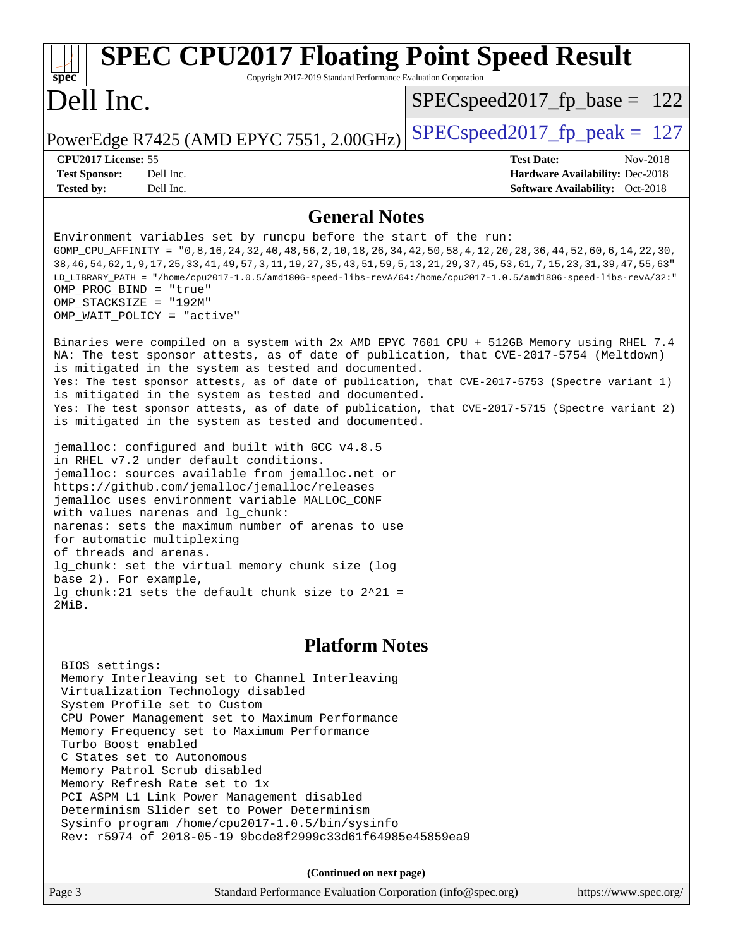| <b>SPEC CPU2017 Floating Point Speed Result</b><br>Copyright 2017-2019 Standard Performance Evaluation Corporation<br>$spec^*$                                                                                                                                                                                                                                                                                                                                                                                                                                                                                                                                                                                                                                                                                                                                                                                                                                                                                                                                                                                                                                                                                                                                                                                                                                                                                                                                                                                                                                                                                                                            |                                                                                                            |  |  |  |
|-----------------------------------------------------------------------------------------------------------------------------------------------------------------------------------------------------------------------------------------------------------------------------------------------------------------------------------------------------------------------------------------------------------------------------------------------------------------------------------------------------------------------------------------------------------------------------------------------------------------------------------------------------------------------------------------------------------------------------------------------------------------------------------------------------------------------------------------------------------------------------------------------------------------------------------------------------------------------------------------------------------------------------------------------------------------------------------------------------------------------------------------------------------------------------------------------------------------------------------------------------------------------------------------------------------------------------------------------------------------------------------------------------------------------------------------------------------------------------------------------------------------------------------------------------------------------------------------------------------------------------------------------------------|------------------------------------------------------------------------------------------------------------|--|--|--|
| Dell Inc.                                                                                                                                                                                                                                                                                                                                                                                                                                                                                                                                                                                                                                                                                                                                                                                                                                                                                                                                                                                                                                                                                                                                                                                                                                                                                                                                                                                                                                                                                                                                                                                                                                                 | $SPEC speed2017_f p\_base = 122$                                                                           |  |  |  |
| PowerEdge R7425 (AMD EPYC 7551, 2.00GHz)                                                                                                                                                                                                                                                                                                                                                                                                                                                                                                                                                                                                                                                                                                                                                                                                                                                                                                                                                                                                                                                                                                                                                                                                                                                                                                                                                                                                                                                                                                                                                                                                                  | $SPEC speed2017_fp\_peak = 127$                                                                            |  |  |  |
| CPU2017 License: 55<br><b>Test Sponsor:</b><br>Dell Inc.<br><b>Tested by:</b><br>Dell Inc.                                                                                                                                                                                                                                                                                                                                                                                                                                                                                                                                                                                                                                                                                                                                                                                                                                                                                                                                                                                                                                                                                                                                                                                                                                                                                                                                                                                                                                                                                                                                                                | <b>Test Date:</b><br>Nov-2018<br>Hardware Availability: Dec-2018<br><b>Software Availability:</b> Oct-2018 |  |  |  |
| <b>General Notes</b>                                                                                                                                                                                                                                                                                                                                                                                                                                                                                                                                                                                                                                                                                                                                                                                                                                                                                                                                                                                                                                                                                                                                                                                                                                                                                                                                                                                                                                                                                                                                                                                                                                      |                                                                                                            |  |  |  |
| Environment variables set by runcpu before the start of the run:<br>GOMP_CPU_AFFINITY = "0,8,16,24,32,40,48,56,2,10,18,26,34,42,50,58,4,12,20,28,36,44,52,60,6,14,22,30,<br>38, 46, 54, 62, 1, 9, 17, 25, 33, 41, 49, 57, 3, 11, 19, 27, 35, 43, 51, 59, 5, 13, 21, 29, 37, 45, 53, 61, 7, 15, 23, 31, 39, 47, 55, 63<br>LD_LIBRARY_PATH = "/home/cpu2017-1.0.5/amd1806-speed-libs-revA/64:/home/cpu2017-1.0.5/amd1806-speed-libs-revA/32:"<br>OMP_PROC_BIND = "true"<br>OMP STACKSIZE = "192M"<br>OMP WAIT POLICY = "active"<br>Binaries were compiled on a system with 2x AMD EPYC 7601 CPU + 512GB Memory using RHEL 7.4<br>NA: The test sponsor attests, as of date of publication, that CVE-2017-5754 (Meltdown)<br>is mitigated in the system as tested and documented.<br>Yes: The test sponsor attests, as of date of publication, that CVE-2017-5753 (Spectre variant 1)<br>is mitigated in the system as tested and documented.<br>Yes: The test sponsor attests, as of date of publication, that CVE-2017-5715 (Spectre variant 2)<br>is mitigated in the system as tested and documented.<br>jemalloc: configured and built with GCC v4.8.5<br>in RHEL v7.2 under default conditions.<br>jemalloc: sources available from jemalloc.net or<br>https://github.com/jemalloc/jemalloc/releases<br>jemalloc uses environment variable MALLOC_CONF<br>with values narenas and lg_chunk:<br>narenas: sets the maximum number of arenas to use<br>for automatic multiplexing<br>of threads and arenas.<br>lg_chunk: set the virtual memory chunk size (log<br>base 2). For example,<br>lg chunk: 21 sets the default chunk size to $2^2$ 1 =<br>2MiB. |                                                                                                            |  |  |  |
| <b>Platform Notes</b>                                                                                                                                                                                                                                                                                                                                                                                                                                                                                                                                                                                                                                                                                                                                                                                                                                                                                                                                                                                                                                                                                                                                                                                                                                                                                                                                                                                                                                                                                                                                                                                                                                     |                                                                                                            |  |  |  |
| BIOS settings:<br>Memory Interleaving set to Channel Interleaving<br>Virtualization Technology disabled<br>System Profile set to Custom<br>CPU Power Management set to Maximum Performance<br>Memory Frequency set to Maximum Performance<br>Turbo Boost enabled<br>C States set to Autonomous<br>Memory Patrol Scrub disabled<br>Memory Refresh Rate set to 1x<br>PCI ASPM L1 Link Power Management disabled<br>Determinism Slider set to Power Determinism<br>Sysinfo program /home/cpu2017-1.0.5/bin/sysinfo<br>Rev: r5974 of 2018-05-19 9bcde8f2999c33d61f64985e45859ea9<br>(Continued on next page)                                                                                                                                                                                                                                                                                                                                                                                                                                                                                                                                                                                                                                                                                                                                                                                                                                                                                                                                                                                                                                                  |                                                                                                            |  |  |  |

Page 3 Standard Performance Evaluation Corporation [\(info@spec.org\)](mailto:info@spec.org) <https://www.spec.org/>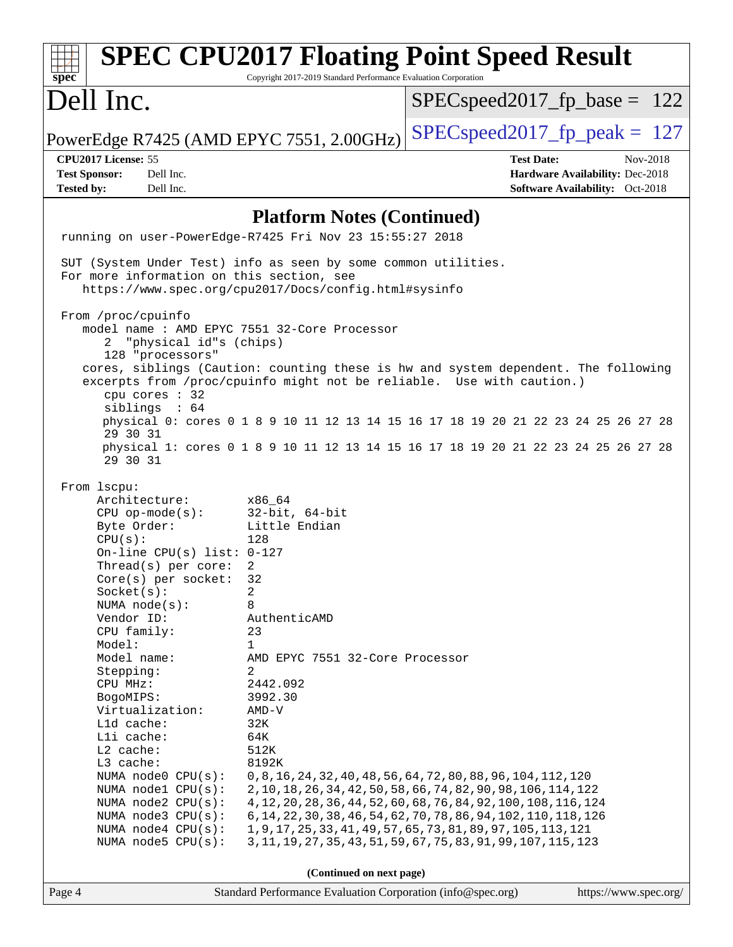| <b>SPEC CPU2017 Floating Point Speed Result</b><br>spec<br>Copyright 2017-2019 Standard Performance Evaluation Corporation                                                                                                                                                                                                                                                                                                                                                                                                        |                                                                                                                                                                                                    |                                                                                                                                                                                                                                                                                                                                                                                                                      |                                                                                |  |
|-----------------------------------------------------------------------------------------------------------------------------------------------------------------------------------------------------------------------------------------------------------------------------------------------------------------------------------------------------------------------------------------------------------------------------------------------------------------------------------------------------------------------------------|----------------------------------------------------------------------------------------------------------------------------------------------------------------------------------------------------|----------------------------------------------------------------------------------------------------------------------------------------------------------------------------------------------------------------------------------------------------------------------------------------------------------------------------------------------------------------------------------------------------------------------|--------------------------------------------------------------------------------|--|
| Dell Inc.                                                                                                                                                                                                                                                                                                                                                                                                                                                                                                                         |                                                                                                                                                                                                    | $SPEC speed2017_f p\_base = 122$                                                                                                                                                                                                                                                                                                                                                                                     |                                                                                |  |
| PowerEdge R7425 (AMD EPYC 7551, 2.00GHz)                                                                                                                                                                                                                                                                                                                                                                                                                                                                                          |                                                                                                                                                                                                    | $SPEC speed2017_fp_peak = 127$                                                                                                                                                                                                                                                                                                                                                                                       |                                                                                |  |
| CPU2017 License: 55<br>Dell Inc.<br><b>Test Sponsor:</b><br>Dell Inc.<br><b>Tested by:</b>                                                                                                                                                                                                                                                                                                                                                                                                                                        |                                                                                                                                                                                                    | <b>Test Date:</b>                                                                                                                                                                                                                                                                                                                                                                                                    | Nov-2018<br>Hardware Availability: Dec-2018<br>Software Availability: Oct-2018 |  |
| <b>Platform Notes (Continued)</b>                                                                                                                                                                                                                                                                                                                                                                                                                                                                                                 |                                                                                                                                                                                                    |                                                                                                                                                                                                                                                                                                                                                                                                                      |                                                                                |  |
| running on user-PowerEdge-R7425 Fri Nov 23 15:55:27 2018                                                                                                                                                                                                                                                                                                                                                                                                                                                                          |                                                                                                                                                                                                    |                                                                                                                                                                                                                                                                                                                                                                                                                      |                                                                                |  |
| SUT (System Under Test) info as seen by some common utilities.<br>For more information on this section, see<br>From /proc/cpuinfo<br>model name: AMD EPYC 7551 32-Core Processor                                                                                                                                                                                                                                                                                                                                                  | https://www.spec.org/cpu2017/Docs/config.html#sysinfo                                                                                                                                              |                                                                                                                                                                                                                                                                                                                                                                                                                      |                                                                                |  |
| "physical id"s (chips)<br>2<br>128 "processors"<br>cpu cores : 32<br>siblings : 64                                                                                                                                                                                                                                                                                                                                                                                                                                                |                                                                                                                                                                                                    | cores, siblings (Caution: counting these is hw and system dependent. The following<br>excerpts from /proc/cpuinfo might not be reliable. Use with caution.)<br>physical 0: cores 0 1 8 9 10 11 12 13 14 15 16 17 18 19 20 21 22 23 24 25 26 27 28                                                                                                                                                                    |                                                                                |  |
| 29 30 31<br>29 30 31                                                                                                                                                                                                                                                                                                                                                                                                                                                                                                              |                                                                                                                                                                                                    | physical 1: cores 0 1 8 9 10 11 12 13 14 15 16 17 18 19 20 21 22 23 24 25 26 27 28                                                                                                                                                                                                                                                                                                                                   |                                                                                |  |
| From 1scpu:<br>Architecture:<br>CPU op-mode(s): $32-bit$ , 64-bit<br>Byte Order:<br>CPU(s):<br>On-line CPU(s) list: $0-127$<br>Thread( $s$ ) per core:<br>$Core(s)$ per socket:<br>Socket(s):<br>NUMA node(s):<br>Vendor ID:<br>CPU family:<br>Model:<br>Model name:<br>Stepping:<br>CPU MHz:<br>BogoMIPS:<br>Virtualization:<br>L1d cache:<br>Lli cache:<br>L2 cache:<br>L3 cache:<br>NUMA node0 CPU(s):<br>NUMA nodel $CPU(s):$<br>NUMA $node2$ $CPU(s):$<br>NUMA node3 CPU(s):<br>NUMA node4 CPU(s):<br>NUMA $node5$ $CPU(s):$ | x86 64<br>Little Endian<br>128<br>2<br>32<br>2<br>8<br>AuthenticAMD<br>23<br>$\mathbf{1}$<br>AMD EPYC 7551 32-Core Processor<br>2<br>2442.092<br>3992.30<br>$AMD-V$<br>32K<br>64K<br>512K<br>8192K | 0, 8, 16, 24, 32, 40, 48, 56, 64, 72, 80, 88, 96, 104, 112, 120<br>2, 10, 18, 26, 34, 42, 50, 58, 66, 74, 82, 90, 98, 106, 114, 122<br>4, 12, 20, 28, 36, 44, 52, 60, 68, 76, 84, 92, 100, 108, 116, 124<br>6, 14, 22, 30, 38, 46, 54, 62, 70, 78, 86, 94, 102, 110, 118, 126<br>1, 9, 17, 25, 33, 41, 49, 57, 65, 73, 81, 89, 97, 105, 113, 121<br>3, 11, 19, 27, 35, 43, 51, 59, 67, 75, 83, 91, 99, 107, 115, 123 |                                                                                |  |
| (Continued on next page)                                                                                                                                                                                                                                                                                                                                                                                                                                                                                                          |                                                                                                                                                                                                    |                                                                                                                                                                                                                                                                                                                                                                                                                      |                                                                                |  |
| Page 4                                                                                                                                                                                                                                                                                                                                                                                                                                                                                                                            | Standard Performance Evaluation Corporation (info@spec.org)                                                                                                                                        |                                                                                                                                                                                                                                                                                                                                                                                                                      | https://www.spec.org/                                                          |  |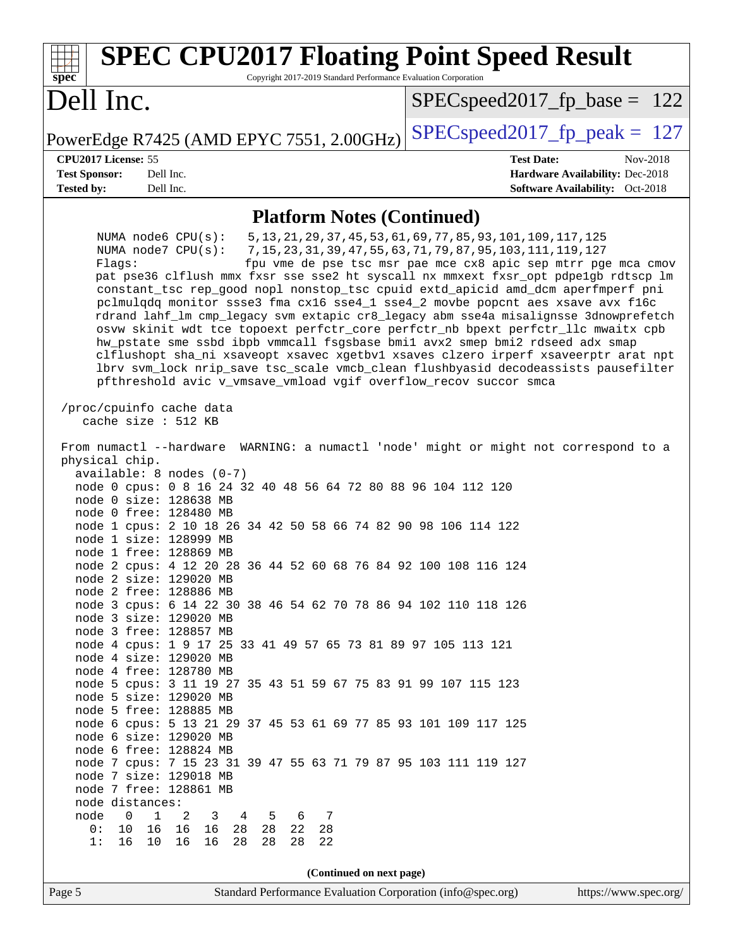| <b>SPEC CPU2017 Floating Point Speed Result</b><br>Copyright 2017-2019 Standard Performance Evaluation Corporation<br>$spec^*$                                                                                                                                                                                                                                                                                                                                                                                                                                                                                                                                                                                                                                                                                                                                                                                                                                                                                                                                                                                                                                                                                                                                                                                       |                                                                                                                                                                                                         |  |
|----------------------------------------------------------------------------------------------------------------------------------------------------------------------------------------------------------------------------------------------------------------------------------------------------------------------------------------------------------------------------------------------------------------------------------------------------------------------------------------------------------------------------------------------------------------------------------------------------------------------------------------------------------------------------------------------------------------------------------------------------------------------------------------------------------------------------------------------------------------------------------------------------------------------------------------------------------------------------------------------------------------------------------------------------------------------------------------------------------------------------------------------------------------------------------------------------------------------------------------------------------------------------------------------------------------------|---------------------------------------------------------------------------------------------------------------------------------------------------------------------------------------------------------|--|
| Dell Inc.                                                                                                                                                                                                                                                                                                                                                                                                                                                                                                                                                                                                                                                                                                                                                                                                                                                                                                                                                                                                                                                                                                                                                                                                                                                                                                            | $SPEC speed2017_f p\_base = 122$                                                                                                                                                                        |  |
| PowerEdge R7425 (AMD EPYC 7551, 2.00GHz)                                                                                                                                                                                                                                                                                                                                                                                                                                                                                                                                                                                                                                                                                                                                                                                                                                                                                                                                                                                                                                                                                                                                                                                                                                                                             | $SPEC speed2017_fp\_peak = 127$                                                                                                                                                                         |  |
| CPU2017 License: 55<br><b>Test Sponsor:</b><br>Dell Inc.<br>Dell Inc.<br><b>Tested by:</b>                                                                                                                                                                                                                                                                                                                                                                                                                                                                                                                                                                                                                                                                                                                                                                                                                                                                                                                                                                                                                                                                                                                                                                                                                           | <b>Test Date:</b><br>Nov-2018<br>Hardware Availability: Dec-2018<br>Software Availability: Oct-2018                                                                                                     |  |
| <b>Platform Notes (Continued)</b>                                                                                                                                                                                                                                                                                                                                                                                                                                                                                                                                                                                                                                                                                                                                                                                                                                                                                                                                                                                                                                                                                                                                                                                                                                                                                    |                                                                                                                                                                                                         |  |
| NUMA node6 CPU(s):<br>NUMA node7 CPU(s):<br>Flaqs:<br>pat pse36 clflush mmx fxsr sse sse2 ht syscall nx mmxext fxsr_opt pdpelgb rdtscp lm<br>constant_tsc rep_good nopl nonstop_tsc cpuid extd_apicid amd_dcm aperfmperf pni<br>pclmulqdq monitor ssse3 fma cx16 sse4_1 sse4_2 movbe popcnt aes xsave avx f16c<br>rdrand lahf_lm cmp_legacy svm extapic cr8_legacy abm sse4a misalignsse 3dnowprefetch<br>osvw skinit wdt tce topoext perfctr_core perfctr_nb bpext perfctr_llc mwaitx cpb<br>hw_pstate sme ssbd ibpb vmmcall fsgsbase bmil avx2 smep bmi2 rdseed adx smap<br>clflushopt sha_ni xsaveopt xsavec xgetbvl xsaves clzero irperf xsaveerptr arat npt<br>lbrv svm_lock nrip_save tsc_scale vmcb_clean flushbyasid decodeassists pausefilter<br>pfthreshold avic v_vmsave_vmload vgif overflow_recov succor smca                                                                                                                                                                                                                                                                                                                                                                                                                                                                                           | 5, 13, 21, 29, 37, 45, 53, 61, 69, 77, 85, 93, 101, 109, 117, 125<br>7, 15, 23, 31, 39, 47, 55, 63, 71, 79, 87, 95, 103, 111, 119, 127<br>fpu vme de pse tsc msr pae mce cx8 apic sep mtrr pge mca cmov |  |
| /proc/cpuinfo cache data<br>cache size : 512 KB                                                                                                                                                                                                                                                                                                                                                                                                                                                                                                                                                                                                                                                                                                                                                                                                                                                                                                                                                                                                                                                                                                                                                                                                                                                                      |                                                                                                                                                                                                         |  |
| From numactl --hardware<br>WARNING: a numactl 'node' might or might not correspond to a<br>physical chip.<br>$available: 8 nodes (0-7)$<br>node 0 cpus: 0 8 16 24 32 40 48 56 64 72 80 88 96 104 112 120<br>node 0 size: 128638 MB<br>node 0 free: 128480 MB<br>node 1 cpus: 2 10 18 26 34 42 50 58 66 74 82 90 98 106 114 122<br>node 1 size: 128999 MB<br>node 1 free: 128869 MB<br>node 2 cpus: 4 12 20 28 36 44 52 60 68 76 84 92 100 108 116 124<br>node 2 size: 129020 MB<br>node 2 free: 128886 MB<br>node 3 cpus: 6 14 22 30 38 46 54 62 70 78 86 94 102 110 118 126<br>node 3 size: 129020 MB<br>node 3 free: 128857 MB<br>node 4 cpus: 1 9 17 25 33 41 49 57 65 73 81 89 97 105 113 121<br>node 4 size: 129020 MB<br>node 4 free: 128780 MB<br>node 5 cpus: 3 11 19 27 35 43 51 59 67 75 83 91 99 107 115 123<br>node 5 size: 129020 MB<br>node 5 free: 128885 MB<br>node 6 cpus: 5 13 21 29 37 45 53 61 69 77 85 93 101 109 117 125<br>node 6 size: 129020 MB<br>node 6 free: 128824 MB<br>node 7 cpus: 7 15 23 31 39 47 55 63 71 79 87 95 103 111 119 127<br>node 7 size: 129018 MB<br>node 7 free: 128861 MB<br>node distances:<br>node<br>$\mathbf{1}$<br>$\overline{0}$<br>2<br>3<br>4 5<br>6<br>7<br>16<br>28 28<br>22<br>28<br>0:<br>10<br>16 16<br>16 10<br>16<br>16<br>28<br>28<br>28<br>22<br>1: |                                                                                                                                                                                                         |  |
| (Continued on next page)<br>Standard Performance Evaluation Corporation (info@spec.org)<br>Page 5                                                                                                                                                                                                                                                                                                                                                                                                                                                                                                                                                                                                                                                                                                                                                                                                                                                                                                                                                                                                                                                                                                                                                                                                                    | https://www.spec.org/                                                                                                                                                                                   |  |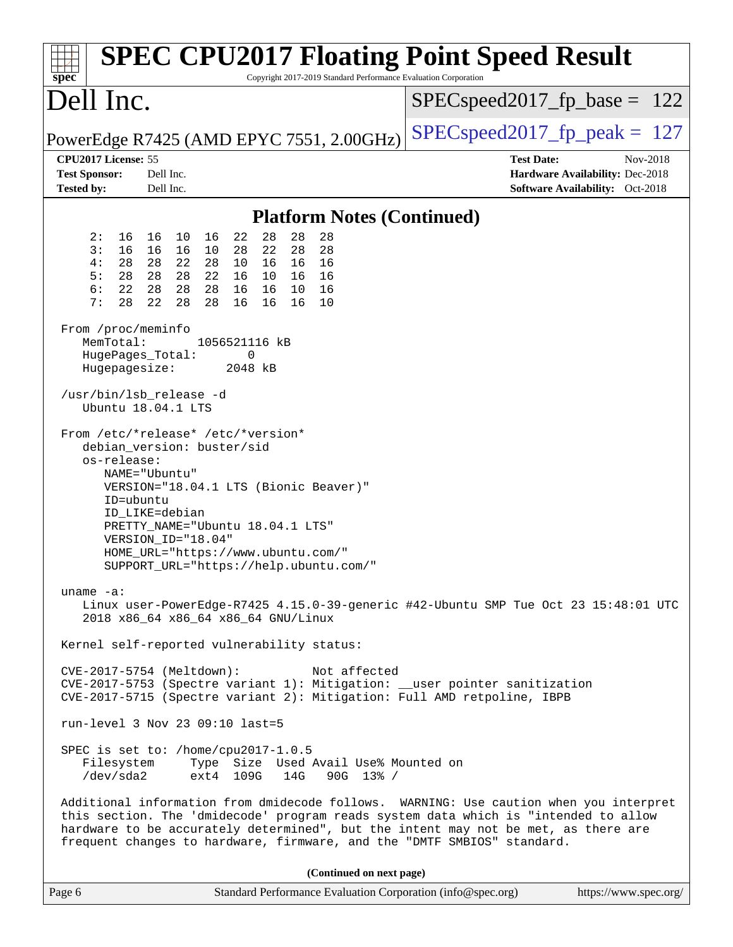| <b>SPEC CPU2017 Floating Point Speed Result</b><br>Copyright 2017-2019 Standard Performance Evaluation Corporation<br>$spec^*$                                                                                                                                                                                                                 |                                                                                                            |
|------------------------------------------------------------------------------------------------------------------------------------------------------------------------------------------------------------------------------------------------------------------------------------------------------------------------------------------------|------------------------------------------------------------------------------------------------------------|
| Dell Inc.                                                                                                                                                                                                                                                                                                                                      | $SPEC speed2017_fp\_base = 122$                                                                            |
| PowerEdge R7425 (AMD EPYC 7551, 2.00GHz)                                                                                                                                                                                                                                                                                                       | $SPEC speed2017_fp\_peak = 127$                                                                            |
| CPU2017 License: 55<br><b>Test Sponsor:</b><br>Dell Inc.<br><b>Tested by:</b><br>Dell Inc.                                                                                                                                                                                                                                                     | <b>Test Date:</b><br>Nov-2018<br>Hardware Availability: Dec-2018<br><b>Software Availability:</b> Oct-2018 |
| <b>Platform Notes (Continued)</b>                                                                                                                                                                                                                                                                                                              |                                                                                                            |
| 28<br>28<br>28<br>2:<br>16<br>16<br>22<br>16<br>10<br>28<br>3:<br>16<br>16<br>22<br>28<br>16<br>10<br>28<br>4:<br>22<br>28<br>28<br>28<br>10<br>16<br>16<br>16<br>5:<br>28<br>28<br>22<br>28<br>16<br>10<br>16<br>16<br>6:<br>22<br>28<br>28<br>16<br>28<br>16<br>10<br>16<br>7:<br>28<br>22<br>28<br>28<br>16<br>16<br>16<br>10               |                                                                                                            |
| From /proc/meminfo<br>MemTotal:<br>1056521116 kB<br>HugePages_Total:<br>0<br>Hugepagesize:<br>2048 kB                                                                                                                                                                                                                                          |                                                                                                            |
| /usr/bin/lsb_release -d<br>Ubuntu 18.04.1 LTS                                                                                                                                                                                                                                                                                                  |                                                                                                            |
| From /etc/*release* /etc/*version*<br>debian_version: buster/sid<br>os-release:<br>NAME="Ubuntu"<br>VERSION="18.04.1 LTS (Bionic Beaver)"<br>ID=ubuntu<br>ID_LIKE=debian<br>PRETTY_NAME="Ubuntu 18.04.1 LTS"<br>VERSION_ID="18.04"<br>HOME_URL="https://www.ubuntu.com/"<br>SUPPORT_URL="https://help.ubuntu.com/"                             |                                                                                                            |
| uname $-a$ :<br>Linux user-PowerEdge-R7425 4.15.0-39-generic #42-Ubuntu SMP Tue Oct 23 15:48:01 UTC<br>2018 x86_64 x86_64 x86_64 GNU/Linux                                                                                                                                                                                                     |                                                                                                            |
| Kernel self-reported vulnerability status:                                                                                                                                                                                                                                                                                                     |                                                                                                            |
| CVE-2017-5754 (Meltdown):<br>Not affected<br>CVE-2017-5753 (Spectre variant 1): Mitigation: __user pointer sanitization<br>CVE-2017-5715 (Spectre variant 2): Mitigation: Full AMD retpoline, IBPB                                                                                                                                             |                                                                                                            |
| $run-level$ 3 Nov 23 09:10 last=5                                                                                                                                                                                                                                                                                                              |                                                                                                            |
| SPEC is set to: /home/cpu2017-1.0.5<br>Type Size Used Avail Use% Mounted on<br>Filesystem<br>/dev/sda2<br>ext4 109G<br>14G<br>$90G$ 13% /                                                                                                                                                                                                      |                                                                                                            |
| Additional information from dmidecode follows. WARNING: Use caution when you interpret<br>this section. The 'dmidecode' program reads system data which is "intended to allow<br>hardware to be accurately determined", but the intent may not be met, as there are<br>frequent changes to hardware, firmware, and the "DMTF SMBIOS" standard. |                                                                                                            |
| (Continued on next page)                                                                                                                                                                                                                                                                                                                       |                                                                                                            |
| Standard Performance Evaluation Corporation (info@spec.org)<br>Page 6                                                                                                                                                                                                                                                                          | https://www.spec.org/                                                                                      |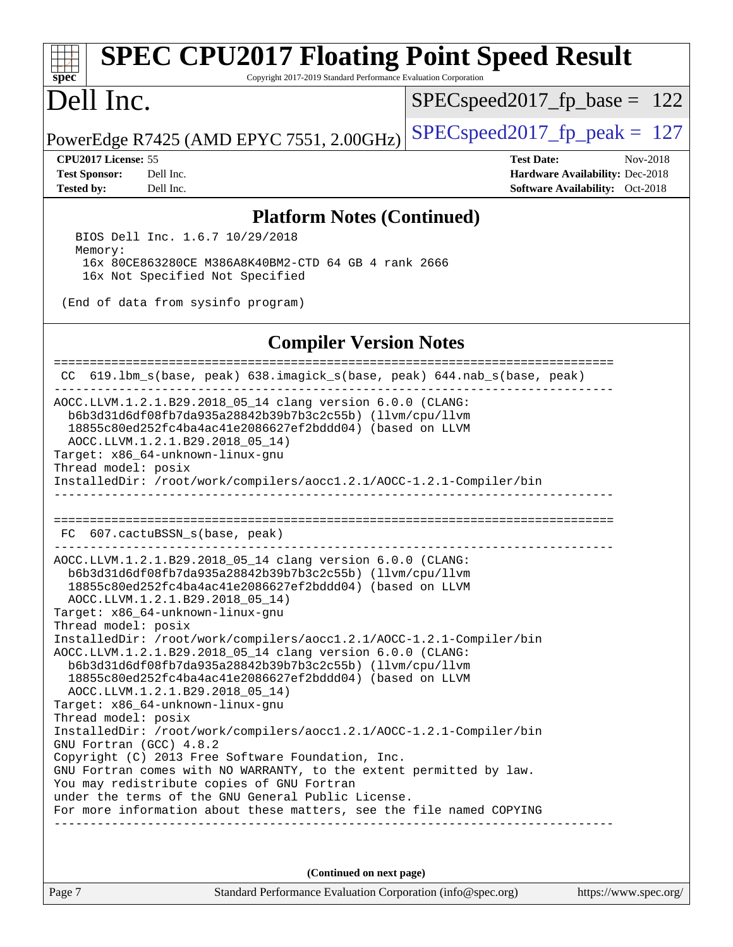# **[SPEC CPU2017 Floating Point Speed Result](http://www.spec.org/auto/cpu2017/Docs/result-fields.html#SPECCPU2017FloatingPointSpeedResult)**

Copyright 2017-2019 Standard Performance Evaluation Corporation

## Dell Inc.

**[spec](http://www.spec.org/)**

SPECspeed2017 fp base =  $122$ 

PowerEdge R7425 (AMD EPYC 7551, 2.00GHz) [SPECspeed2017\\_fp\\_peak =](http://www.spec.org/auto/cpu2017/Docs/result-fields.html#SPECspeed2017fppeak)  $127$ 

**[Tested by:](http://www.spec.org/auto/cpu2017/Docs/result-fields.html#Testedby)** Dell Inc. **[Software Availability:](http://www.spec.org/auto/cpu2017/Docs/result-fields.html#SoftwareAvailability)** Oct-2018

**[CPU2017 License:](http://www.spec.org/auto/cpu2017/Docs/result-fields.html#CPU2017License)** 55 **[Test Date:](http://www.spec.org/auto/cpu2017/Docs/result-fields.html#TestDate)** Nov-2018 **[Test Sponsor:](http://www.spec.org/auto/cpu2017/Docs/result-fields.html#TestSponsor)** Dell Inc. **[Hardware Availability:](http://www.spec.org/auto/cpu2017/Docs/result-fields.html#HardwareAvailability)** Dec-2018

### **[Platform Notes \(Continued\)](http://www.spec.org/auto/cpu2017/Docs/result-fields.html#PlatformNotes)**

 BIOS Dell Inc. 1.6.7 10/29/2018 Memory: 16x 80CE863280CE M386A8K40BM2-CTD 64 GB 4 rank 2666 16x Not Specified Not Specified

(End of data from sysinfo program)

### **[Compiler Version Notes](http://www.spec.org/auto/cpu2017/Docs/result-fields.html#CompilerVersionNotes)**

============================================================================== CC 619.lbm\_s(base, peak) 638.imagick\_s(base, peak) 644.nab\_s(base, peak) ------------------------------------------------------------------------------ AOCC.LLVM.1.2.1.B29.2018\_05\_14 clang version 6.0.0 (CLANG: b6b3d31d6df08fb7da935a28842b39b7b3c2c55b) (llvm/cpu/llvm 18855c80ed252fc4ba4ac41e2086627ef2bddd04) (based on LLVM AOCC.LLVM.1.2.1.B29.2018\_05\_14) Target: x86\_64-unknown-linux-gnu Thread model: posix InstalledDir: /root/work/compilers/aocc1.2.1/AOCC-1.2.1-Compiler/bin ------------------------------------------------------------------------------ ============================================================================== FC 607.cactuBSSN\_s(base, peak) ------------------------------------------------------------------------------ AOCC.LLVM.1.2.1.B29.2018\_05\_14 clang version 6.0.0 (CLANG: b6b3d31d6df08fb7da935a28842b39b7b3c2c55b) (llvm/cpu/llvm 18855c80ed252fc4ba4ac41e2086627ef2bddd04) (based on LLVM AOCC.LLVM.1.2.1.B29.2018\_05\_14) Target: x86\_64-unknown-linux-gnu Thread model: posix InstalledDir: /root/work/compilers/aocc1.2.1/AOCC-1.2.1-Compiler/bin AOCC.LLVM.1.2.1.B29.2018\_05\_14 clang version 6.0.0 (CLANG: b6b3d31d6df08fb7da935a28842b39b7b3c2c55b) (llvm/cpu/llvm 18855c80ed252fc4ba4ac41e2086627ef2bddd04) (based on LLVM AOCC.LLVM.1.2.1.B29.2018\_05\_14) Target: x86\_64-unknown-linux-gnu Thread model: posix InstalledDir: /root/work/compilers/aocc1.2.1/AOCC-1.2.1-Compiler/bin GNU Fortran (GCC) 4.8.2 Copyright (C) 2013 Free Software Foundation, Inc. GNU Fortran comes with NO WARRANTY, to the extent permitted by law. You may redistribute copies of GNU Fortran under the terms of the GNU General Public License. For more information about these matters, see the file named COPYING ------------------------------------------------------------------------------ **(Continued on next page)**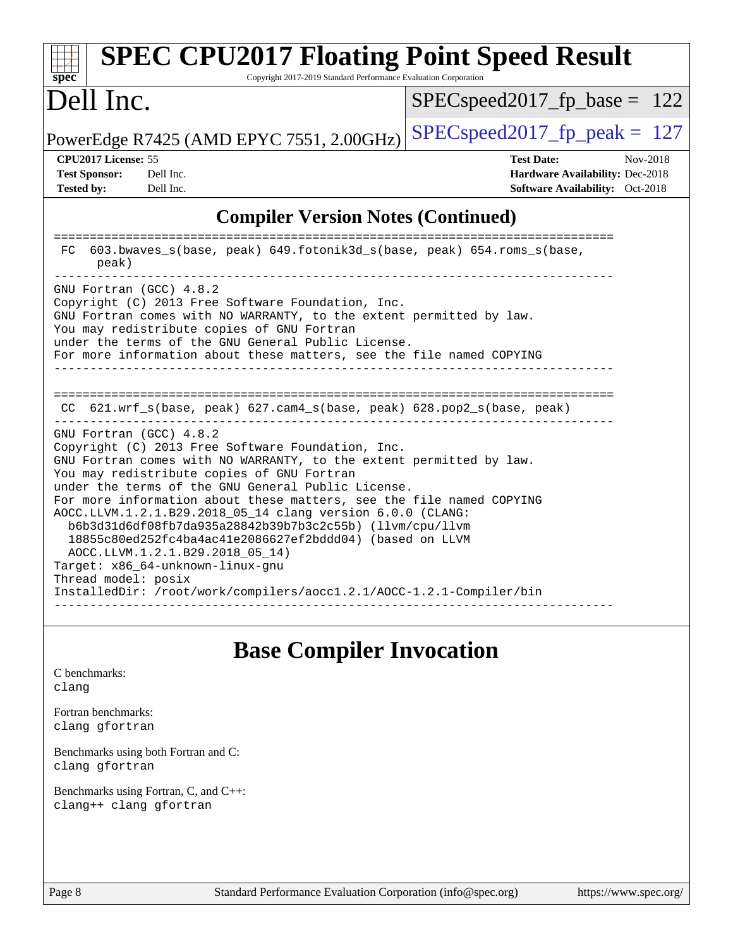| <b>SPEC CPU2017 Floating Point Speed Result</b><br>Copyright 2017-2019 Standard Performance Evaluation Corporation<br>spec                                                                                                                                                                                                                                                                                                                                                                                                                                                                                                                                                                  |                                                                                                     |  |  |
|---------------------------------------------------------------------------------------------------------------------------------------------------------------------------------------------------------------------------------------------------------------------------------------------------------------------------------------------------------------------------------------------------------------------------------------------------------------------------------------------------------------------------------------------------------------------------------------------------------------------------------------------------------------------------------------------|-----------------------------------------------------------------------------------------------------|--|--|
| Dell Inc.                                                                                                                                                                                                                                                                                                                                                                                                                                                                                                                                                                                                                                                                                   | $SPEC speed2017_fp\_base = 122$                                                                     |  |  |
| PowerEdge R7425 (AMD EPYC 7551, 2.00GHz)                                                                                                                                                                                                                                                                                                                                                                                                                                                                                                                                                                                                                                                    | $SPEC speed2017_fp_peak = 127$                                                                      |  |  |
| <b>CPU2017 License: 55</b><br><b>Test Sponsor:</b><br>Dell Inc.<br><b>Tested by:</b><br>Dell Inc.                                                                                                                                                                                                                                                                                                                                                                                                                                                                                                                                                                                           | <b>Test Date:</b><br>Nov-2018<br>Hardware Availability: Dec-2018<br>Software Availability: Oct-2018 |  |  |
| <b>Compiler Version Notes (Continued)</b>                                                                                                                                                                                                                                                                                                                                                                                                                                                                                                                                                                                                                                                   |                                                                                                     |  |  |
| 603.bwaves_s(base, peak) 649.fotonik3d_s(base, peak) 654.roms_s(base,<br>FC<br>peak)                                                                                                                                                                                                                                                                                                                                                                                                                                                                                                                                                                                                        |                                                                                                     |  |  |
| GNU Fortran (GCC) 4.8.2<br>Copyright (C) 2013 Free Software Foundation, Inc.<br>GNU Fortran comes with NO WARRANTY, to the extent permitted by law.<br>You may redistribute copies of GNU Fortran<br>under the terms of the GNU General Public License.<br>For more information about these matters, see the file named COPYING                                                                                                                                                                                                                                                                                                                                                             |                                                                                                     |  |  |
| $CC$ 621.wrf_s(base, peak) 627.cam4_s(base, peak) 628.pop2_s(base, peak)                                                                                                                                                                                                                                                                                                                                                                                                                                                                                                                                                                                                                    |                                                                                                     |  |  |
| GNU Fortran (GCC) 4.8.2<br>Copyright (C) 2013 Free Software Foundation, Inc.<br>GNU Fortran comes with NO WARRANTY, to the extent permitted by law.<br>You may redistribute copies of GNU Fortran<br>under the terms of the GNU General Public License.<br>For more information about these matters, see the file named COPYING<br>AOCC.LLVM.1.2.1.B29.2018_05_14 clang version 6.0.0 (CLANG:<br>b6b3d31d6df08fb7da935a28842b39b7b3c2c55b) (llvm/cpu/llvm<br>18855c80ed252fc4ba4ac41e2086627ef2bddd04) (based on LLVM<br>AOCC.LLVM.1.2.1.B29.2018 05 14)<br>Target: x86_64-unknown-linux-gnu<br>Thread model: posix<br>InstalledDir: /root/work/compilers/aocc1.2.1/AOCC-1.2.1-Compiler/bin |                                                                                                     |  |  |

## **[Base Compiler Invocation](http://www.spec.org/auto/cpu2017/Docs/result-fields.html#BaseCompilerInvocation)**

[C benchmarks](http://www.spec.org/auto/cpu2017/Docs/result-fields.html#Cbenchmarks): [clang](http://www.spec.org/cpu2017/results/res2018q4/cpu2017-20181126-09836.flags.html#user_CCbase_Fclang3_a68b77bfed473bd9cdd22529af008e8306c2e3948617c8991604c1a2000ee4a73ef90dd8bc793e105fe4165a625d26dacbda4708d828ad19048918c071b363ec)

[Fortran benchmarks](http://www.spec.org/auto/cpu2017/Docs/result-fields.html#Fortranbenchmarks): [clang](http://www.spec.org/cpu2017/results/res2018q4/cpu2017-20181126-09836.flags.html#user_FCbase_Fclang3_a68b77bfed473bd9cdd22529af008e8306c2e3948617c8991604c1a2000ee4a73ef90dd8bc793e105fe4165a625d26dacbda4708d828ad19048918c071b363ec) [gfortran](http://www.spec.org/cpu2017/results/res2018q4/cpu2017-20181126-09836.flags.html#user_FCbase_aocc-gfortran_128c91a56d61ddb07404721e65b8f9498c31a443dacbd3b7f212891090eca86e2d099b520f75b99e9e8ac4fdec01f4d15f0b65e47123ec4c42b0759045731a1f)

[Benchmarks using both Fortran and C](http://www.spec.org/auto/cpu2017/Docs/result-fields.html#BenchmarksusingbothFortranandC): [clang](http://www.spec.org/cpu2017/results/res2018q4/cpu2017-20181126-09836.flags.html#user_CC_FCbase_Fclang3_a68b77bfed473bd9cdd22529af008e8306c2e3948617c8991604c1a2000ee4a73ef90dd8bc793e105fe4165a625d26dacbda4708d828ad19048918c071b363ec) [gfortran](http://www.spec.org/cpu2017/results/res2018q4/cpu2017-20181126-09836.flags.html#user_CC_FCbase_aocc-gfortran_128c91a56d61ddb07404721e65b8f9498c31a443dacbd3b7f212891090eca86e2d099b520f75b99e9e8ac4fdec01f4d15f0b65e47123ec4c42b0759045731a1f)

[Benchmarks using Fortran, C, and C++:](http://www.spec.org/auto/cpu2017/Docs/result-fields.html#BenchmarksusingFortranCandCXX) [clang++](http://www.spec.org/cpu2017/results/res2018q4/cpu2017-20181126-09836.flags.html#user_CC_CXX_FCbase_Fclang3_57a48582e5be507d19b2527b3e7d4f85d9b8669ffc9a8a0dbb9bcf949a918a58bbab411e0c4d14a3922022a3e425a90db94042683824c1806feff4324ca1000d) [clang](http://www.spec.org/cpu2017/results/res2018q4/cpu2017-20181126-09836.flags.html#user_CC_CXX_FCbase_Fclang3_a68b77bfed473bd9cdd22529af008e8306c2e3948617c8991604c1a2000ee4a73ef90dd8bc793e105fe4165a625d26dacbda4708d828ad19048918c071b363ec) [gfortran](http://www.spec.org/cpu2017/results/res2018q4/cpu2017-20181126-09836.flags.html#user_CC_CXX_FCbase_aocc-gfortran_128c91a56d61ddb07404721e65b8f9498c31a443dacbd3b7f212891090eca86e2d099b520f75b99e9e8ac4fdec01f4d15f0b65e47123ec4c42b0759045731a1f)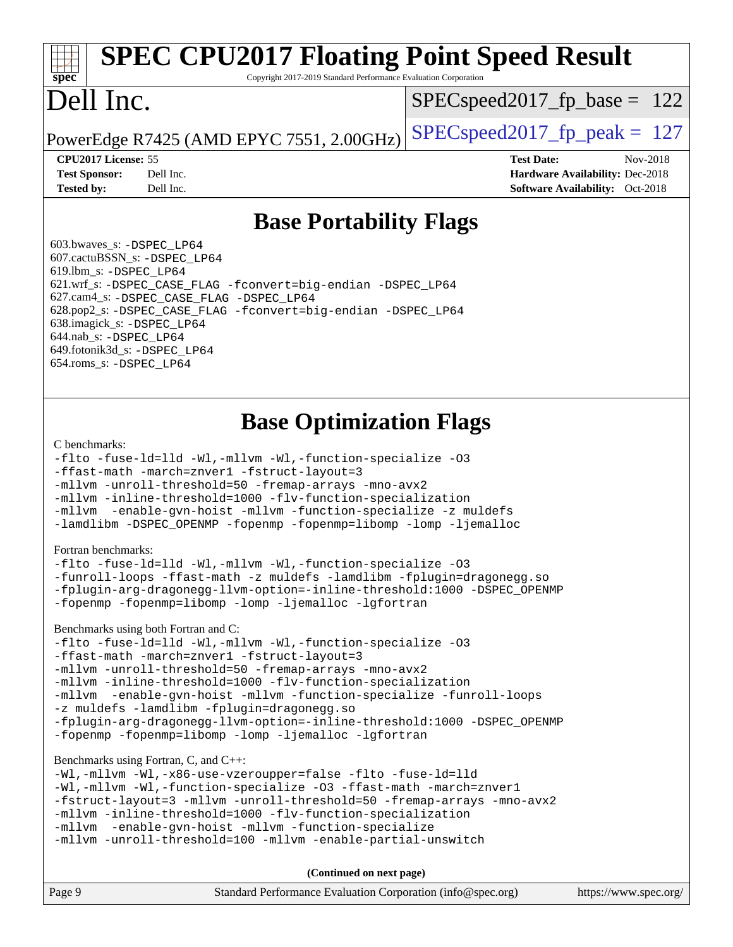# **[SPEC CPU2017 Floating Point Speed Result](http://www.spec.org/auto/cpu2017/Docs/result-fields.html#SPECCPU2017FloatingPointSpeedResult)**

Copyright 2017-2019 Standard Performance Evaluation Corporation

# Dell Inc.

**[spec](http://www.spec.org/)**<sup>®</sup>

SPECspeed2017 fp base =  $122$ 

PowerEdge R7425 (AMD EPYC 7551, 2.00GHz) [SPECspeed2017\\_fp\\_peak =](http://www.spec.org/auto/cpu2017/Docs/result-fields.html#SPECspeed2017fppeak)  $127$ 

**[Tested by:](http://www.spec.org/auto/cpu2017/Docs/result-fields.html#Testedby)** Dell Inc. **[Software Availability:](http://www.spec.org/auto/cpu2017/Docs/result-fields.html#SoftwareAvailability)** Oct-2018

**[CPU2017 License:](http://www.spec.org/auto/cpu2017/Docs/result-fields.html#CPU2017License)** 55 **[Test Date:](http://www.spec.org/auto/cpu2017/Docs/result-fields.html#TestDate)** Nov-2018 **[Test Sponsor:](http://www.spec.org/auto/cpu2017/Docs/result-fields.html#TestSponsor)** Dell Inc. **[Hardware Availability:](http://www.spec.org/auto/cpu2017/Docs/result-fields.html#HardwareAvailability)** Dec-2018

### **[Base Portability Flags](http://www.spec.org/auto/cpu2017/Docs/result-fields.html#BasePortabilityFlags)**

 603.bwaves\_s: [-DSPEC\\_LP64](http://www.spec.org/cpu2017/results/res2018q4/cpu2017-20181126-09836.flags.html#suite_baseEXTRA_PORTABILITY603_bwaves_s_DSPEC_LP64) 607.cactuBSSN\_s: [-DSPEC\\_LP64](http://www.spec.org/cpu2017/results/res2018q4/cpu2017-20181126-09836.flags.html#suite_baseEXTRA_PORTABILITY607_cactuBSSN_s_DSPEC_LP64) 619.lbm\_s: [-DSPEC\\_LP64](http://www.spec.org/cpu2017/results/res2018q4/cpu2017-20181126-09836.flags.html#suite_baseEXTRA_PORTABILITY619_lbm_s_DSPEC_LP64) 621.wrf\_s: [-DSPEC\\_CASE\\_FLAG](http://www.spec.org/cpu2017/results/res2018q4/cpu2017-20181126-09836.flags.html#b621.wrf_s_baseCPORTABILITY_DSPEC_CASE_FLAG) [-fconvert=big-endian](http://www.spec.org/cpu2017/results/res2018q4/cpu2017-20181126-09836.flags.html#user_baseFPORTABILITY621_wrf_s_F-fconvert) [-DSPEC\\_LP64](http://www.spec.org/cpu2017/results/res2018q4/cpu2017-20181126-09836.flags.html#suite_baseEXTRA_PORTABILITY621_wrf_s_DSPEC_LP64) 627.cam4\_s: [-DSPEC\\_CASE\\_FLAG](http://www.spec.org/cpu2017/results/res2018q4/cpu2017-20181126-09836.flags.html#b627.cam4_s_basePORTABILITY_DSPEC_CASE_FLAG) [-DSPEC\\_LP64](http://www.spec.org/cpu2017/results/res2018q4/cpu2017-20181126-09836.flags.html#suite_baseEXTRA_PORTABILITY627_cam4_s_DSPEC_LP64) 628.pop2\_s: [-DSPEC\\_CASE\\_FLAG](http://www.spec.org/cpu2017/results/res2018q4/cpu2017-20181126-09836.flags.html#b628.pop2_s_baseCPORTABILITY_DSPEC_CASE_FLAG) [-fconvert=big-endian](http://www.spec.org/cpu2017/results/res2018q4/cpu2017-20181126-09836.flags.html#user_baseFPORTABILITY628_pop2_s_F-fconvert) [-DSPEC\\_LP64](http://www.spec.org/cpu2017/results/res2018q4/cpu2017-20181126-09836.flags.html#suite_baseEXTRA_PORTABILITY628_pop2_s_DSPEC_LP64) 638.imagick\_s: [-DSPEC\\_LP64](http://www.spec.org/cpu2017/results/res2018q4/cpu2017-20181126-09836.flags.html#suite_baseEXTRA_PORTABILITY638_imagick_s_DSPEC_LP64) 644.nab\_s: [-DSPEC\\_LP64](http://www.spec.org/cpu2017/results/res2018q4/cpu2017-20181126-09836.flags.html#suite_baseEXTRA_PORTABILITY644_nab_s_DSPEC_LP64) 649.fotonik3d\_s: [-DSPEC\\_LP64](http://www.spec.org/cpu2017/results/res2018q4/cpu2017-20181126-09836.flags.html#suite_baseEXTRA_PORTABILITY649_fotonik3d_s_DSPEC_LP64) 654.roms\_s: [-DSPEC\\_LP64](http://www.spec.org/cpu2017/results/res2018q4/cpu2017-20181126-09836.flags.html#suite_baseEXTRA_PORTABILITY654_roms_s_DSPEC_LP64)

### **[Base Optimization Flags](http://www.spec.org/auto/cpu2017/Docs/result-fields.html#BaseOptimizationFlags)**

### [C benchmarks](http://www.spec.org/auto/cpu2017/Docs/result-fields.html#Cbenchmarks):

```
-flto -fuse-ld=lld -Wl,-mllvm -Wl,-function-specialize -O3
-ffast-math -march=znver1 -fstruct-layout=3
-mllvm -unroll-threshold=50 -fremap-arrays -mno-avx2
-mllvm -inline-threshold=1000 -flv-function-specialization
-mllvm -enable-gvn-hoist -mllvm -function-specialize -z muldefs
-lamdlibm -DSPEC_OPENMP -fopenmp -fopenmp=libomp -lomp -ljemalloc
```
### [Fortran benchmarks](http://www.spec.org/auto/cpu2017/Docs/result-fields.html#Fortranbenchmarks):

```
-flto -fuse-ld=lld -Wl,-mllvm -Wl,-function-specialize -O3
-funroll-loops -ffast-math -z muldefs -lamdlibm -fplugin=dragonegg.so
-fplugin-arg-dragonegg-llvm-option=-inline-threshold:1000 -DSPEC_OPENMP
-fopenmp -fopenmp=libomp -lomp -ljemalloc -lgfortran
```
### [Benchmarks using both Fortran and C](http://www.spec.org/auto/cpu2017/Docs/result-fields.html#BenchmarksusingbothFortranandC):

```
-flto -fuse-ld=lld -Wl,-mllvm -Wl,-function-specialize -O3
-ffast-math -march=znver1 -fstruct-layout=3
-mllvm -unroll-threshold=50 -fremap-arrays -mno-avx2
-mllvm -inline-threshold=1000 -flv-function-specialization
-mllvm -enable-gvn-hoist -mllvm -function-specialize -funroll-loops
-z muldefs -lamdlibm -fplugin=dragonegg.so
-fplugin-arg-dragonegg-llvm-option=-inline-threshold:1000 -DSPEC_OPENMP
-fopenmp -fopenmp=libomp -lomp -ljemalloc -lgfortran
```
### [Benchmarks using Fortran, C, and C++:](http://www.spec.org/auto/cpu2017/Docs/result-fields.html#BenchmarksusingFortranCandCXX)

```
-Wl,-mllvm -Wl,-x86-use-vzeroupper=false -flto -fuse-ld=lld
-Wl,-mllvm -Wl,-function-specialize -O3 -ffast-math -march=znver1
-fstruct-layout=3 -mllvm -unroll-threshold=50 -fremap-arrays -mno-avx2
-mllvm -inline-threshold=1000 -flv-function-specialization
-mllvm -enable-gvn-hoist -mllvm -function-specialize
-mllvm -unroll-threshold=100 -mllvm -enable-partial-unswitch
```
**(Continued on next page)**

| Page 9 | Standard Performance Evaluation Corporation (info@spec.org) | https://www.spec.org/ |
|--------|-------------------------------------------------------------|-----------------------|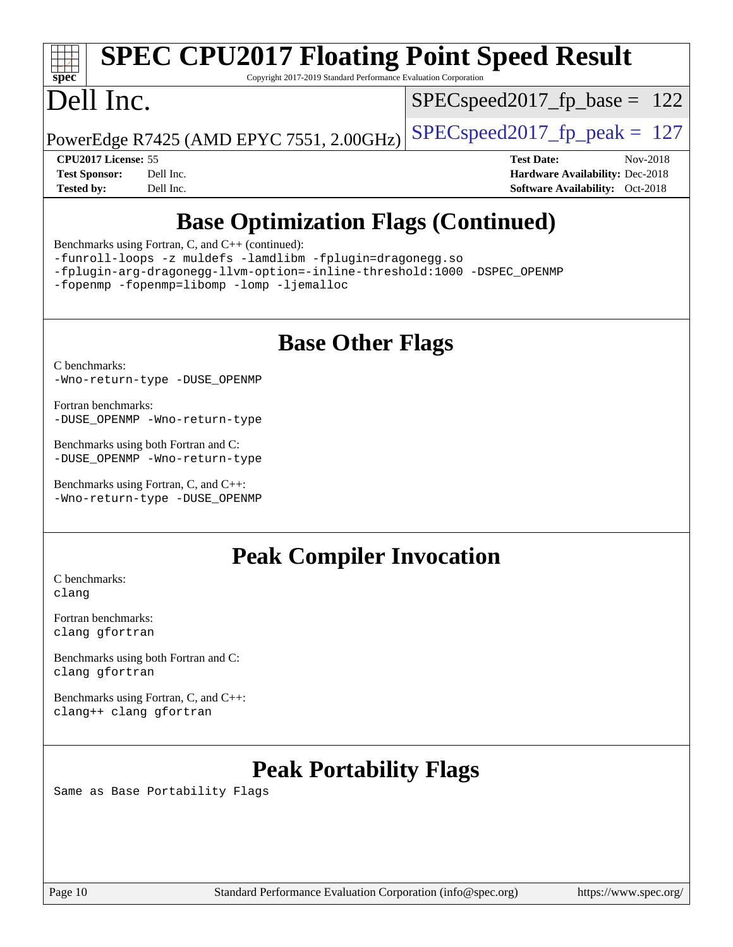# **[SPEC CPU2017 Floating Point Speed Result](http://www.spec.org/auto/cpu2017/Docs/result-fields.html#SPECCPU2017FloatingPointSpeedResult)**

Copyright 2017-2019 Standard Performance Evaluation Corporation

# Dell Inc.

**[spec](http://www.spec.org/)**

SPECspeed2017 fp base =  $122$ 

PowerEdge R7425 (AMD EPYC 7551, 2.00GHz)  $\left|$  [SPECspeed2017\\_fp\\_peak =](http://www.spec.org/auto/cpu2017/Docs/result-fields.html#SPECspeed2017fppeak) 127

**[CPU2017 License:](http://www.spec.org/auto/cpu2017/Docs/result-fields.html#CPU2017License)** 55 **[Test Date:](http://www.spec.org/auto/cpu2017/Docs/result-fields.html#TestDate)** Nov-2018 **[Test Sponsor:](http://www.spec.org/auto/cpu2017/Docs/result-fields.html#TestSponsor)** Dell Inc. **[Hardware Availability:](http://www.spec.org/auto/cpu2017/Docs/result-fields.html#HardwareAvailability)** Dec-2018 **[Tested by:](http://www.spec.org/auto/cpu2017/Docs/result-fields.html#Testedby)** Dell Inc. **[Software Availability:](http://www.spec.org/auto/cpu2017/Docs/result-fields.html#SoftwareAvailability)** Oct-2018

## **[Base Optimization Flags \(Continued\)](http://www.spec.org/auto/cpu2017/Docs/result-fields.html#BaseOptimizationFlags)**

[Benchmarks using Fortran, C, and C++](http://www.spec.org/auto/cpu2017/Docs/result-fields.html#BenchmarksusingFortranCandCXX) (continued):

[-funroll-loops](http://www.spec.org/cpu2017/results/res2018q4/cpu2017-20181126-09836.flags.html#user_CC_CXX_FCbase_aocc-funroll-loops) [-z muldefs](http://www.spec.org/cpu2017/results/res2018q4/cpu2017-20181126-09836.flags.html#user_CC_CXX_FCbase_F-z-muldefs) [-lamdlibm](http://www.spec.org/cpu2017/results/res2018q4/cpu2017-20181126-09836.flags.html#user_CC_CXX_FCbase_F-lamdlibm) [-fplugin=dragonegg.so](http://www.spec.org/cpu2017/results/res2018q4/cpu2017-20181126-09836.flags.html#user_CC_CXX_FCbase_F-fpluginDragonEgg)

[-fplugin-arg-dragonegg-llvm-option=-inline-threshold:1000](http://www.spec.org/cpu2017/results/res2018q4/cpu2017-20181126-09836.flags.html#user_CC_CXX_FCbase_inline-threshold_eec74946bf81becf626625ea3f1757217b7f1e09b0c056df6f4a6dc542562255a9e8a6d36c454b3b2ed3e147f40cf87a14a68e01ad47a8b90b49f15f387f919f) [-DSPEC\\_OPENMP](http://www.spec.org/cpu2017/results/res2018q4/cpu2017-20181126-09836.flags.html#suite_CC_CXX_FCbase_DSPEC_OPENMP)

[-fopenmp](http://www.spec.org/cpu2017/results/res2018q4/cpu2017-20181126-09836.flags.html#user_CC_CXX_FCbase_F-fopenmp) [-fopenmp=libomp](http://www.spec.org/cpu2017/results/res2018q4/cpu2017-20181126-09836.flags.html#user_CC_CXX_FCbase_F-fopenmp_3eb6ab80166bcc84161ff8c20c8d5bc344f88119f45620444596454f7d72e99b7a0ceefc2d1b4d190bd07306bbfdfc20f11f5a2dc69c9b03c72239f8406741c3) [-lomp](http://www.spec.org/cpu2017/results/res2018q4/cpu2017-20181126-09836.flags.html#user_CC_CXX_FCbase_F-lomp) [-ljemalloc](http://www.spec.org/cpu2017/results/res2018q4/cpu2017-20181126-09836.flags.html#user_CC_CXX_FCbase_jemalloc-lib_d1249b907c500fa1c0672f44f562e3d0f79738ae9e3c4a9c376d49f265a04b9c99b167ecedbf6711b3085be911c67ff61f150a17b3472be731631ba4d0471706)

### **[Base Other Flags](http://www.spec.org/auto/cpu2017/Docs/result-fields.html#BaseOtherFlags)**

[C benchmarks](http://www.spec.org/auto/cpu2017/Docs/result-fields.html#Cbenchmarks):

[-Wno-return-type](http://www.spec.org/cpu2017/results/res2018q4/cpu2017-20181126-09836.flags.html#user_CCbase_F-Wno-return-type) [-DUSE\\_OPENMP](http://www.spec.org/cpu2017/results/res2018q4/cpu2017-20181126-09836.flags.html#user_CCbase_F-DUSE_OPENMP)

[Fortran benchmarks](http://www.spec.org/auto/cpu2017/Docs/result-fields.html#Fortranbenchmarks): [-DUSE\\_OPENMP](http://www.spec.org/cpu2017/results/res2018q4/cpu2017-20181126-09836.flags.html#user_FCbase_F-DUSE_OPENMP) [-Wno-return-type](http://www.spec.org/cpu2017/results/res2018q4/cpu2017-20181126-09836.flags.html#user_FCbase_F-Wno-return-type)

[Benchmarks using both Fortran and C](http://www.spec.org/auto/cpu2017/Docs/result-fields.html#BenchmarksusingbothFortranandC): [-DUSE\\_OPENMP](http://www.spec.org/cpu2017/results/res2018q4/cpu2017-20181126-09836.flags.html#user_CC_FCbase_F-DUSE_OPENMP) [-Wno-return-type](http://www.spec.org/cpu2017/results/res2018q4/cpu2017-20181126-09836.flags.html#user_CC_FCbase_F-Wno-return-type)

[Benchmarks using Fortran, C, and C++:](http://www.spec.org/auto/cpu2017/Docs/result-fields.html#BenchmarksusingFortranCandCXX) [-Wno-return-type](http://www.spec.org/cpu2017/results/res2018q4/cpu2017-20181126-09836.flags.html#user_CC_CXX_FCbase_F-Wno-return-type) [-DUSE\\_OPENMP](http://www.spec.org/cpu2017/results/res2018q4/cpu2017-20181126-09836.flags.html#user_CC_CXX_FCbase_F-DUSE_OPENMP)

### **[Peak Compiler Invocation](http://www.spec.org/auto/cpu2017/Docs/result-fields.html#PeakCompilerInvocation)**

[C benchmarks](http://www.spec.org/auto/cpu2017/Docs/result-fields.html#Cbenchmarks): [clang](http://www.spec.org/cpu2017/results/res2018q4/cpu2017-20181126-09836.flags.html#user_CCpeak_Fclang3_a68b77bfed473bd9cdd22529af008e8306c2e3948617c8991604c1a2000ee4a73ef90dd8bc793e105fe4165a625d26dacbda4708d828ad19048918c071b363ec)

[Fortran benchmarks](http://www.spec.org/auto/cpu2017/Docs/result-fields.html#Fortranbenchmarks): [clang](http://www.spec.org/cpu2017/results/res2018q4/cpu2017-20181126-09836.flags.html#user_FCpeak_Fclang3_a68b77bfed473bd9cdd22529af008e8306c2e3948617c8991604c1a2000ee4a73ef90dd8bc793e105fe4165a625d26dacbda4708d828ad19048918c071b363ec) [gfortran](http://www.spec.org/cpu2017/results/res2018q4/cpu2017-20181126-09836.flags.html#user_FCpeak_aocc-gfortran_128c91a56d61ddb07404721e65b8f9498c31a443dacbd3b7f212891090eca86e2d099b520f75b99e9e8ac4fdec01f4d15f0b65e47123ec4c42b0759045731a1f)

[Benchmarks using both Fortran and C](http://www.spec.org/auto/cpu2017/Docs/result-fields.html#BenchmarksusingbothFortranandC): [clang](http://www.spec.org/cpu2017/results/res2018q4/cpu2017-20181126-09836.flags.html#user_CC_FCpeak_Fclang3_a68b77bfed473bd9cdd22529af008e8306c2e3948617c8991604c1a2000ee4a73ef90dd8bc793e105fe4165a625d26dacbda4708d828ad19048918c071b363ec) [gfortran](http://www.spec.org/cpu2017/results/res2018q4/cpu2017-20181126-09836.flags.html#user_CC_FCpeak_aocc-gfortran_128c91a56d61ddb07404721e65b8f9498c31a443dacbd3b7f212891090eca86e2d099b520f75b99e9e8ac4fdec01f4d15f0b65e47123ec4c42b0759045731a1f)

[Benchmarks using Fortran, C, and C++:](http://www.spec.org/auto/cpu2017/Docs/result-fields.html#BenchmarksusingFortranCandCXX) [clang++](http://www.spec.org/cpu2017/results/res2018q4/cpu2017-20181126-09836.flags.html#user_CC_CXX_FCpeak_Fclang3_57a48582e5be507d19b2527b3e7d4f85d9b8669ffc9a8a0dbb9bcf949a918a58bbab411e0c4d14a3922022a3e425a90db94042683824c1806feff4324ca1000d) [clang](http://www.spec.org/cpu2017/results/res2018q4/cpu2017-20181126-09836.flags.html#user_CC_CXX_FCpeak_Fclang3_a68b77bfed473bd9cdd22529af008e8306c2e3948617c8991604c1a2000ee4a73ef90dd8bc793e105fe4165a625d26dacbda4708d828ad19048918c071b363ec) [gfortran](http://www.spec.org/cpu2017/results/res2018q4/cpu2017-20181126-09836.flags.html#user_CC_CXX_FCpeak_aocc-gfortran_128c91a56d61ddb07404721e65b8f9498c31a443dacbd3b7f212891090eca86e2d099b520f75b99e9e8ac4fdec01f4d15f0b65e47123ec4c42b0759045731a1f)

## **[Peak Portability Flags](http://www.spec.org/auto/cpu2017/Docs/result-fields.html#PeakPortabilityFlags)**

Same as Base Portability Flags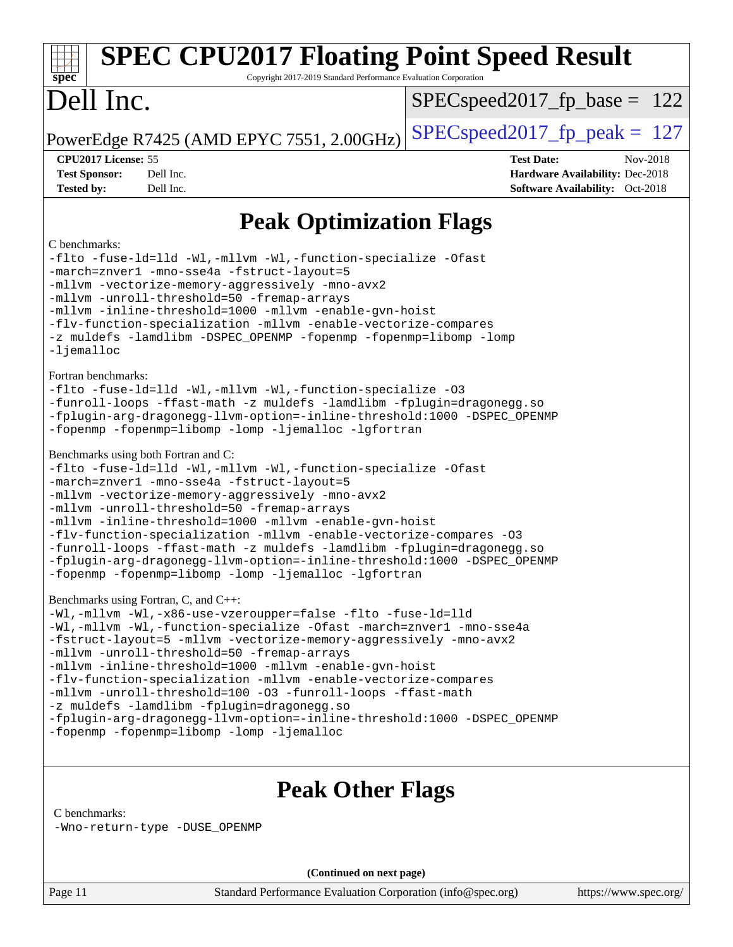### Page 11 Standard Performance Evaluation Corporation [\(info@spec.org\)](mailto:info@spec.org) <https://www.spec.org/> **[spec](http://www.spec.org/) [SPEC CPU2017 Floating Point Speed Result](http://www.spec.org/auto/cpu2017/Docs/result-fields.html#SPECCPU2017FloatingPointSpeedResult)** Copyright 2017-2019 Standard Performance Evaluation Corporation Dell Inc. PowerEdge R7425 (AMD EPYC 7551, 2.00GHz)  $\left|$  [SPECspeed2017\\_fp\\_peak =](http://www.spec.org/auto/cpu2017/Docs/result-fields.html#SPECspeed2017fppeak) 127 SPECspeed2017 fp base =  $122$ **[CPU2017 License:](http://www.spec.org/auto/cpu2017/Docs/result-fields.html#CPU2017License)** 55 **[Test Date:](http://www.spec.org/auto/cpu2017/Docs/result-fields.html#TestDate)** Nov-2018 **[Test Sponsor:](http://www.spec.org/auto/cpu2017/Docs/result-fields.html#TestSponsor)** Dell Inc. **[Hardware Availability:](http://www.spec.org/auto/cpu2017/Docs/result-fields.html#HardwareAvailability)** Dec-2018 **[Tested by:](http://www.spec.org/auto/cpu2017/Docs/result-fields.html#Testedby)** Dell Inc. **[Software Availability:](http://www.spec.org/auto/cpu2017/Docs/result-fields.html#SoftwareAvailability)** Oct-2018 **[Peak Optimization Flags](http://www.spec.org/auto/cpu2017/Docs/result-fields.html#PeakOptimizationFlags)** [C benchmarks](http://www.spec.org/auto/cpu2017/Docs/result-fields.html#Cbenchmarks): [-flto](http://www.spec.org/cpu2017/results/res2018q4/cpu2017-20181126-09836.flags.html#user_CCpeak_lto) [-fuse-ld=lld](http://www.spec.org/cpu2017/results/res2018q4/cpu2017-20181126-09836.flags.html#user_CCpeak_F-fuse-ld:lld) [-Wl,-mllvm -Wl,-function-specialize](http://www.spec.org/cpu2017/results/res2018q4/cpu2017-20181126-09836.flags.html#user_CCpeak_F-function-specialize_7e7e661e57922243ee67c9a1251cb8910e607325179a0ce7f2884e09a6f5d4a5ef0ae4f37e8a2a11c95fc48e931f06dc2b6016f14b511fcb441e048bef1b065a) [-Ofast](http://www.spec.org/cpu2017/results/res2018q4/cpu2017-20181126-09836.flags.html#user_CCpeak_F-aocc-Ofast) [-march=znver1](http://www.spec.org/cpu2017/results/res2018q4/cpu2017-20181126-09836.flags.html#user_CCpeak_F-march) [-mno-sse4a](http://www.spec.org/cpu2017/results/res2018q4/cpu2017-20181126-09836.flags.html#user_CCpeak_F-mno-sse4a) [-fstruct-layout=5](http://www.spec.org/cpu2017/results/res2018q4/cpu2017-20181126-09836.flags.html#user_CCpeak_F-fstruct-layout_0de9d3561e9f54a54e0843cce081bd13a08ab3e9a82696f3346606c2e11360c37113781019b02fa128d9f650e68f1ffd209bab5c3a026c1ad23e4e7f60646b23) [-mllvm -vectorize-memory-aggressively](http://www.spec.org/cpu2017/results/res2018q4/cpu2017-20181126-09836.flags.html#user_CCpeak_vectorize-memory-aggressively_24b72a4417f50ade9e698c5b3bed87ab456cc6fc8ec6439480cb84f36ad6a3975af6e87206dea402e3871a1464ff3d60bc798e0250f330177ba629a260df1857) [-mno-avx2](http://www.spec.org/cpu2017/results/res2018q4/cpu2017-20181126-09836.flags.html#user_CCpeak_F-mno-avx2) [-mllvm -unroll-threshold=50](http://www.spec.org/cpu2017/results/res2018q4/cpu2017-20181126-09836.flags.html#user_CCpeak_F-unroll-threshold_458874500b2c105d6d5cb4d7a611c40e2b16e9e3d26b355fea72d644c3673b4de4b3932662f0ed3dbec75c491a13da2d2ca81180bd779dc531083ef1e1e549dc) [-fremap-arrays](http://www.spec.org/cpu2017/results/res2018q4/cpu2017-20181126-09836.flags.html#user_CCpeak_F-fremap-arrays) [-mllvm -inline-threshold=1000](http://www.spec.org/cpu2017/results/res2018q4/cpu2017-20181126-09836.flags.html#user_CCpeak_inline-threshold_b7832241b0a6397e4ecdbaf0eb7defdc10f885c2a282fa3240fdc99844d543fda39cf8a4a9dccf68cf19b5438ac3b455264f478df15da0f4988afa40d8243bab) [-mllvm -enable-gvn-hoist](http://www.spec.org/cpu2017/results/res2018q4/cpu2017-20181126-09836.flags.html#user_CCpeak_enable-gvn-hoist_e5856354646dd6ca1333a0ad99b817e4cf8932b91b82809fd8fd47ceff7b22a89eba5c98fd3e3fa5200368fd772cec3dd56abc3c8f7b655a71b9f9848dddedd5) [-flv-function-specialization](http://www.spec.org/cpu2017/results/res2018q4/cpu2017-20181126-09836.flags.html#user_CCpeak_F-flv-function-specialize_07cdae9d4f5a2fca40e405fea602992e011887a33dcad1b7b16f6f25ce06c990b699a200bc10eee1df0cb85b395651daeaed34acc1639ef0a100fd13c3f91687) [-mllvm -enable-vectorize-compares](http://www.spec.org/cpu2017/results/res2018q4/cpu2017-20181126-09836.flags.html#user_CCpeak_F-dragonegg-llvm-enable-vectorize-compares_b0f9ba5c2bf359ebfb3565233b4b445f3bc1341bdb81b5def9190bfb31647497a21547eb0543cf2bb7b88159321faaf09bc744eb065d0a5a7a5ddcd01a6ff03c) [-z muldefs](http://www.spec.org/cpu2017/results/res2018q4/cpu2017-20181126-09836.flags.html#user_CCpeak_F-z-muldefs) [-lamdlibm](http://www.spec.org/cpu2017/results/res2018q4/cpu2017-20181126-09836.flags.html#user_CCpeak_F-lamdlibm) [-DSPEC\\_OPENMP](http://www.spec.org/cpu2017/results/res2018q4/cpu2017-20181126-09836.flags.html#suite_CCpeak_DSPEC_OPENMP) [-fopenmp](http://www.spec.org/cpu2017/results/res2018q4/cpu2017-20181126-09836.flags.html#user_CCpeak_F-fopenmp) [-fopenmp=libomp](http://www.spec.org/cpu2017/results/res2018q4/cpu2017-20181126-09836.flags.html#user_CCpeak_F-fopenmp_3eb6ab80166bcc84161ff8c20c8d5bc344f88119f45620444596454f7d72e99b7a0ceefc2d1b4d190bd07306bbfdfc20f11f5a2dc69c9b03c72239f8406741c3) [-lomp](http://www.spec.org/cpu2017/results/res2018q4/cpu2017-20181126-09836.flags.html#user_CCpeak_F-lomp) [-ljemalloc](http://www.spec.org/cpu2017/results/res2018q4/cpu2017-20181126-09836.flags.html#user_CCpeak_jemalloc-lib_d1249b907c500fa1c0672f44f562e3d0f79738ae9e3c4a9c376d49f265a04b9c99b167ecedbf6711b3085be911c67ff61f150a17b3472be731631ba4d0471706) [Fortran benchmarks:](http://www.spec.org/auto/cpu2017/Docs/result-fields.html#Fortranbenchmarks) [-flto](http://www.spec.org/cpu2017/results/res2018q4/cpu2017-20181126-09836.flags.html#user_FCpeak_lto) [-fuse-ld=lld](http://www.spec.org/cpu2017/results/res2018q4/cpu2017-20181126-09836.flags.html#user_FCpeak_F-fuse-ld:lld) [-Wl,-mllvm -Wl,-function-specialize](http://www.spec.org/cpu2017/results/res2018q4/cpu2017-20181126-09836.flags.html#user_FCpeak_F-function-specialize_7e7e661e57922243ee67c9a1251cb8910e607325179a0ce7f2884e09a6f5d4a5ef0ae4f37e8a2a11c95fc48e931f06dc2b6016f14b511fcb441e048bef1b065a) [-O3](http://www.spec.org/cpu2017/results/res2018q4/cpu2017-20181126-09836.flags.html#user_FCpeak_F-O3) [-funroll-loops](http://www.spec.org/cpu2017/results/res2018q4/cpu2017-20181126-09836.flags.html#user_FCpeak_aocc-funroll-loops) [-ffast-math](http://www.spec.org/cpu2017/results/res2018q4/cpu2017-20181126-09836.flags.html#user_FCpeak_F-aocc-ffast-math_78dd175de6534c2005829757b9b0f2878e57b067cce6f7c443b2250ac68890960e2e1b320ca04b81ff7c62c6f87870ed05f06baf7875eea2990d38e3b73c71f1) [-z muldefs](http://www.spec.org/cpu2017/results/res2018q4/cpu2017-20181126-09836.flags.html#user_FCpeak_F-z-muldefs) [-lamdlibm](http://www.spec.org/cpu2017/results/res2018q4/cpu2017-20181126-09836.flags.html#user_FCpeak_F-lamdlibm) [-fplugin=dragonegg.so](http://www.spec.org/cpu2017/results/res2018q4/cpu2017-20181126-09836.flags.html#user_FCpeak_F-fpluginDragonEgg) [-fplugin-arg-dragonegg-llvm-option=-inline-threshold:1000](http://www.spec.org/cpu2017/results/res2018q4/cpu2017-20181126-09836.flags.html#user_FCpeak_inline-threshold_eec74946bf81becf626625ea3f1757217b7f1e09b0c056df6f4a6dc542562255a9e8a6d36c454b3b2ed3e147f40cf87a14a68e01ad47a8b90b49f15f387f919f) [-DSPEC\\_OPENMP](http://www.spec.org/cpu2017/results/res2018q4/cpu2017-20181126-09836.flags.html#suite_FCpeak_DSPEC_OPENMP) [-fopenmp](http://www.spec.org/cpu2017/results/res2018q4/cpu2017-20181126-09836.flags.html#user_FCpeak_F-fopenmp) [-fopenmp=libomp](http://www.spec.org/cpu2017/results/res2018q4/cpu2017-20181126-09836.flags.html#user_FCpeak_F-fopenmp_3eb6ab80166bcc84161ff8c20c8d5bc344f88119f45620444596454f7d72e99b7a0ceefc2d1b4d190bd07306bbfdfc20f11f5a2dc69c9b03c72239f8406741c3) [-lomp](http://www.spec.org/cpu2017/results/res2018q4/cpu2017-20181126-09836.flags.html#user_FCpeak_F-lomp) [-ljemalloc](http://www.spec.org/cpu2017/results/res2018q4/cpu2017-20181126-09836.flags.html#user_FCpeak_jemalloc-lib_d1249b907c500fa1c0672f44f562e3d0f79738ae9e3c4a9c376d49f265a04b9c99b167ecedbf6711b3085be911c67ff61f150a17b3472be731631ba4d0471706) [-lgfortran](http://www.spec.org/cpu2017/results/res2018q4/cpu2017-20181126-09836.flags.html#user_FCpeak_F-lgfortran) [Benchmarks using both Fortran and C](http://www.spec.org/auto/cpu2017/Docs/result-fields.html#BenchmarksusingbothFortranandC): [-flto](http://www.spec.org/cpu2017/results/res2018q4/cpu2017-20181126-09836.flags.html#user_CC_FCpeak_lto) [-fuse-ld=lld](http://www.spec.org/cpu2017/results/res2018q4/cpu2017-20181126-09836.flags.html#user_CC_FCpeak_F-fuse-ld:lld) [-Wl,-mllvm -Wl,-function-specialize](http://www.spec.org/cpu2017/results/res2018q4/cpu2017-20181126-09836.flags.html#user_CC_FCpeak_F-function-specialize_7e7e661e57922243ee67c9a1251cb8910e607325179a0ce7f2884e09a6f5d4a5ef0ae4f37e8a2a11c95fc48e931f06dc2b6016f14b511fcb441e048bef1b065a) [-Ofast](http://www.spec.org/cpu2017/results/res2018q4/cpu2017-20181126-09836.flags.html#user_CC_FCpeak_F-aocc-Ofast) [-march=znver1](http://www.spec.org/cpu2017/results/res2018q4/cpu2017-20181126-09836.flags.html#user_CC_FCpeak_F-march) [-mno-sse4a](http://www.spec.org/cpu2017/results/res2018q4/cpu2017-20181126-09836.flags.html#user_CC_FCpeak_F-mno-sse4a) [-fstruct-layout=5](http://www.spec.org/cpu2017/results/res2018q4/cpu2017-20181126-09836.flags.html#user_CC_FCpeak_F-fstruct-layout_0de9d3561e9f54a54e0843cce081bd13a08ab3e9a82696f3346606c2e11360c37113781019b02fa128d9f650e68f1ffd209bab5c3a026c1ad23e4e7f60646b23) [-mllvm -vectorize-memory-aggressively](http://www.spec.org/cpu2017/results/res2018q4/cpu2017-20181126-09836.flags.html#user_CC_FCpeak_vectorize-memory-aggressively_24b72a4417f50ade9e698c5b3bed87ab456cc6fc8ec6439480cb84f36ad6a3975af6e87206dea402e3871a1464ff3d60bc798e0250f330177ba629a260df1857) [-mno-avx2](http://www.spec.org/cpu2017/results/res2018q4/cpu2017-20181126-09836.flags.html#user_CC_FCpeak_F-mno-avx2) [-mllvm -unroll-threshold=50](http://www.spec.org/cpu2017/results/res2018q4/cpu2017-20181126-09836.flags.html#user_CC_FCpeak_F-unroll-threshold_458874500b2c105d6d5cb4d7a611c40e2b16e9e3d26b355fea72d644c3673b4de4b3932662f0ed3dbec75c491a13da2d2ca81180bd779dc531083ef1e1e549dc) [-fremap-arrays](http://www.spec.org/cpu2017/results/res2018q4/cpu2017-20181126-09836.flags.html#user_CC_FCpeak_F-fremap-arrays) [-mllvm -inline-threshold=1000](http://www.spec.org/cpu2017/results/res2018q4/cpu2017-20181126-09836.flags.html#user_CC_FCpeak_inline-threshold_b7832241b0a6397e4ecdbaf0eb7defdc10f885c2a282fa3240fdc99844d543fda39cf8a4a9dccf68cf19b5438ac3b455264f478df15da0f4988afa40d8243bab) [-mllvm -enable-gvn-hoist](http://www.spec.org/cpu2017/results/res2018q4/cpu2017-20181126-09836.flags.html#user_CC_FCpeak_enable-gvn-hoist_e5856354646dd6ca1333a0ad99b817e4cf8932b91b82809fd8fd47ceff7b22a89eba5c98fd3e3fa5200368fd772cec3dd56abc3c8f7b655a71b9f9848dddedd5) [-flv-function-specialization](http://www.spec.org/cpu2017/results/res2018q4/cpu2017-20181126-09836.flags.html#user_CC_FCpeak_F-flv-function-specialize_07cdae9d4f5a2fca40e405fea602992e011887a33dcad1b7b16f6f25ce06c990b699a200bc10eee1df0cb85b395651daeaed34acc1639ef0a100fd13c3f91687) [-mllvm -enable-vectorize-compares](http://www.spec.org/cpu2017/results/res2018q4/cpu2017-20181126-09836.flags.html#user_CC_FCpeak_F-dragonegg-llvm-enable-vectorize-compares_b0f9ba5c2bf359ebfb3565233b4b445f3bc1341bdb81b5def9190bfb31647497a21547eb0543cf2bb7b88159321faaf09bc744eb065d0a5a7a5ddcd01a6ff03c) [-O3](http://www.spec.org/cpu2017/results/res2018q4/cpu2017-20181126-09836.flags.html#user_CC_FCpeak_F-O3) [-funroll-loops](http://www.spec.org/cpu2017/results/res2018q4/cpu2017-20181126-09836.flags.html#user_CC_FCpeak_aocc-funroll-loops) [-ffast-math](http://www.spec.org/cpu2017/results/res2018q4/cpu2017-20181126-09836.flags.html#user_CC_FCpeak_F-aocc-ffast-math_78dd175de6534c2005829757b9b0f2878e57b067cce6f7c443b2250ac68890960e2e1b320ca04b81ff7c62c6f87870ed05f06baf7875eea2990d38e3b73c71f1) [-z muldefs](http://www.spec.org/cpu2017/results/res2018q4/cpu2017-20181126-09836.flags.html#user_CC_FCpeak_F-z-muldefs) [-lamdlibm](http://www.spec.org/cpu2017/results/res2018q4/cpu2017-20181126-09836.flags.html#user_CC_FCpeak_F-lamdlibm) [-fplugin=dragonegg.so](http://www.spec.org/cpu2017/results/res2018q4/cpu2017-20181126-09836.flags.html#user_CC_FCpeak_F-fpluginDragonEgg) [-fplugin-arg-dragonegg-llvm-option=-inline-threshold:1000](http://www.spec.org/cpu2017/results/res2018q4/cpu2017-20181126-09836.flags.html#user_CC_FCpeak_inline-threshold_eec74946bf81becf626625ea3f1757217b7f1e09b0c056df6f4a6dc542562255a9e8a6d36c454b3b2ed3e147f40cf87a14a68e01ad47a8b90b49f15f387f919f) [-DSPEC\\_OPENMP](http://www.spec.org/cpu2017/results/res2018q4/cpu2017-20181126-09836.flags.html#suite_CC_FCpeak_DSPEC_OPENMP) [-fopenmp](http://www.spec.org/cpu2017/results/res2018q4/cpu2017-20181126-09836.flags.html#user_CC_FCpeak_F-fopenmp) [-fopenmp=libomp](http://www.spec.org/cpu2017/results/res2018q4/cpu2017-20181126-09836.flags.html#user_CC_FCpeak_F-fopenmp_3eb6ab80166bcc84161ff8c20c8d5bc344f88119f45620444596454f7d72e99b7a0ceefc2d1b4d190bd07306bbfdfc20f11f5a2dc69c9b03c72239f8406741c3) [-lomp](http://www.spec.org/cpu2017/results/res2018q4/cpu2017-20181126-09836.flags.html#user_CC_FCpeak_F-lomp) [-ljemalloc](http://www.spec.org/cpu2017/results/res2018q4/cpu2017-20181126-09836.flags.html#user_CC_FCpeak_jemalloc-lib_d1249b907c500fa1c0672f44f562e3d0f79738ae9e3c4a9c376d49f265a04b9c99b167ecedbf6711b3085be911c67ff61f150a17b3472be731631ba4d0471706) [-lgfortran](http://www.spec.org/cpu2017/results/res2018q4/cpu2017-20181126-09836.flags.html#user_CC_FCpeak_F-lgfortran) [Benchmarks using Fortran, C, and C++](http://www.spec.org/auto/cpu2017/Docs/result-fields.html#BenchmarksusingFortranCandCXX): [-Wl,-mllvm -Wl,-x86-use-vzeroupper=false](http://www.spec.org/cpu2017/results/res2018q4/cpu2017-20181126-09836.flags.html#user_CC_CXX_FCpeak_no-vzeroupper_f792211b0552b0142c11cf651c85f88d7eca3e3e6d4ab29ab8b0b7be9c7d83df7aebb846b5dded1424ec84d39acb59d058815f97bc3ae9de4ba00ee4e2945c83) [-flto](http://www.spec.org/cpu2017/results/res2018q4/cpu2017-20181126-09836.flags.html#user_CC_CXX_FCpeak_lto) [-fuse-ld=lld](http://www.spec.org/cpu2017/results/res2018q4/cpu2017-20181126-09836.flags.html#user_CC_CXX_FCpeak_F-fuse-ld:lld) [-Wl,-mllvm -Wl,-function-specialize](http://www.spec.org/cpu2017/results/res2018q4/cpu2017-20181126-09836.flags.html#user_CC_CXX_FCpeak_F-function-specialize_7e7e661e57922243ee67c9a1251cb8910e607325179a0ce7f2884e09a6f5d4a5ef0ae4f37e8a2a11c95fc48e931f06dc2b6016f14b511fcb441e048bef1b065a) [-Ofast](http://www.spec.org/cpu2017/results/res2018q4/cpu2017-20181126-09836.flags.html#user_CC_CXX_FCpeak_F-aocc-Ofast) [-march=znver1](http://www.spec.org/cpu2017/results/res2018q4/cpu2017-20181126-09836.flags.html#user_CC_CXX_FCpeak_F-march) [-mno-sse4a](http://www.spec.org/cpu2017/results/res2018q4/cpu2017-20181126-09836.flags.html#user_CC_CXX_FCpeak_F-mno-sse4a) [-fstruct-layout=5](http://www.spec.org/cpu2017/results/res2018q4/cpu2017-20181126-09836.flags.html#user_CC_CXX_FCpeak_F-fstruct-layout_0de9d3561e9f54a54e0843cce081bd13a08ab3e9a82696f3346606c2e11360c37113781019b02fa128d9f650e68f1ffd209bab5c3a026c1ad23e4e7f60646b23) [-mllvm -vectorize-memory-aggressively](http://www.spec.org/cpu2017/results/res2018q4/cpu2017-20181126-09836.flags.html#user_CC_CXX_FCpeak_vectorize-memory-aggressively_24b72a4417f50ade9e698c5b3bed87ab456cc6fc8ec6439480cb84f36ad6a3975af6e87206dea402e3871a1464ff3d60bc798e0250f330177ba629a260df1857) [-mno-avx2](http://www.spec.org/cpu2017/results/res2018q4/cpu2017-20181126-09836.flags.html#user_CC_CXX_FCpeak_F-mno-avx2) [-mllvm -unroll-threshold=50](http://www.spec.org/cpu2017/results/res2018q4/cpu2017-20181126-09836.flags.html#user_CC_CXX_FCpeak_F-unroll-threshold_458874500b2c105d6d5cb4d7a611c40e2b16e9e3d26b355fea72d644c3673b4de4b3932662f0ed3dbec75c491a13da2d2ca81180bd779dc531083ef1e1e549dc) [-fremap-arrays](http://www.spec.org/cpu2017/results/res2018q4/cpu2017-20181126-09836.flags.html#user_CC_CXX_FCpeak_F-fremap-arrays) [-mllvm -inline-threshold=1000](http://www.spec.org/cpu2017/results/res2018q4/cpu2017-20181126-09836.flags.html#user_CC_CXX_FCpeak_inline-threshold_b7832241b0a6397e4ecdbaf0eb7defdc10f885c2a282fa3240fdc99844d543fda39cf8a4a9dccf68cf19b5438ac3b455264f478df15da0f4988afa40d8243bab) [-mllvm -enable-gvn-hoist](http://www.spec.org/cpu2017/results/res2018q4/cpu2017-20181126-09836.flags.html#user_CC_CXX_FCpeak_enable-gvn-hoist_e5856354646dd6ca1333a0ad99b817e4cf8932b91b82809fd8fd47ceff7b22a89eba5c98fd3e3fa5200368fd772cec3dd56abc3c8f7b655a71b9f9848dddedd5) [-flv-function-specialization](http://www.spec.org/cpu2017/results/res2018q4/cpu2017-20181126-09836.flags.html#user_CC_CXX_FCpeak_F-flv-function-specialize_07cdae9d4f5a2fca40e405fea602992e011887a33dcad1b7b16f6f25ce06c990b699a200bc10eee1df0cb85b395651daeaed34acc1639ef0a100fd13c3f91687) [-mllvm -enable-vectorize-compares](http://www.spec.org/cpu2017/results/res2018q4/cpu2017-20181126-09836.flags.html#user_CC_CXX_FCpeak_F-dragonegg-llvm-enable-vectorize-compares_b0f9ba5c2bf359ebfb3565233b4b445f3bc1341bdb81b5def9190bfb31647497a21547eb0543cf2bb7b88159321faaf09bc744eb065d0a5a7a5ddcd01a6ff03c) [-mllvm -unroll-threshold=100](http://www.spec.org/cpu2017/results/res2018q4/cpu2017-20181126-09836.flags.html#user_CC_CXX_FCpeak_F-unroll-threshold_2755d0c78138845d361fa1543e3a063fffa198df9b3edf0cfb856bbc88a81e1769b12ac7a550c5d35197be55360db1a3f95a8d1304df999456cabf5120c45168) [-O3](http://www.spec.org/cpu2017/results/res2018q4/cpu2017-20181126-09836.flags.html#user_CC_CXX_FCpeak_F-O3) [-funroll-loops](http://www.spec.org/cpu2017/results/res2018q4/cpu2017-20181126-09836.flags.html#user_CC_CXX_FCpeak_aocc-funroll-loops) [-ffast-math](http://www.spec.org/cpu2017/results/res2018q4/cpu2017-20181126-09836.flags.html#user_CC_CXX_FCpeak_F-aocc-ffast-math_78dd175de6534c2005829757b9b0f2878e57b067cce6f7c443b2250ac68890960e2e1b320ca04b81ff7c62c6f87870ed05f06baf7875eea2990d38e3b73c71f1) [-z muldefs](http://www.spec.org/cpu2017/results/res2018q4/cpu2017-20181126-09836.flags.html#user_CC_CXX_FCpeak_F-z-muldefs) [-lamdlibm](http://www.spec.org/cpu2017/results/res2018q4/cpu2017-20181126-09836.flags.html#user_CC_CXX_FCpeak_F-lamdlibm) [-fplugin=dragonegg.so](http://www.spec.org/cpu2017/results/res2018q4/cpu2017-20181126-09836.flags.html#user_CC_CXX_FCpeak_F-fpluginDragonEgg) [-fplugin-arg-dragonegg-llvm-option=-inline-threshold:1000](http://www.spec.org/cpu2017/results/res2018q4/cpu2017-20181126-09836.flags.html#user_CC_CXX_FCpeak_inline-threshold_eec74946bf81becf626625ea3f1757217b7f1e09b0c056df6f4a6dc542562255a9e8a6d36c454b3b2ed3e147f40cf87a14a68e01ad47a8b90b49f15f387f919f) [-DSPEC\\_OPENMP](http://www.spec.org/cpu2017/results/res2018q4/cpu2017-20181126-09836.flags.html#suite_CC_CXX_FCpeak_DSPEC_OPENMP) [-fopenmp](http://www.spec.org/cpu2017/results/res2018q4/cpu2017-20181126-09836.flags.html#user_CC_CXX_FCpeak_F-fopenmp) [-fopenmp=libomp](http://www.spec.org/cpu2017/results/res2018q4/cpu2017-20181126-09836.flags.html#user_CC_CXX_FCpeak_F-fopenmp_3eb6ab80166bcc84161ff8c20c8d5bc344f88119f45620444596454f7d72e99b7a0ceefc2d1b4d190bd07306bbfdfc20f11f5a2dc69c9b03c72239f8406741c3) [-lomp](http://www.spec.org/cpu2017/results/res2018q4/cpu2017-20181126-09836.flags.html#user_CC_CXX_FCpeak_F-lomp) [-ljemalloc](http://www.spec.org/cpu2017/results/res2018q4/cpu2017-20181126-09836.flags.html#user_CC_CXX_FCpeak_jemalloc-lib_d1249b907c500fa1c0672f44f562e3d0f79738ae9e3c4a9c376d49f265a04b9c99b167ecedbf6711b3085be911c67ff61f150a17b3472be731631ba4d0471706) **[Peak Other Flags](http://www.spec.org/auto/cpu2017/Docs/result-fields.html#PeakOtherFlags)** [C benchmarks](http://www.spec.org/auto/cpu2017/Docs/result-fields.html#Cbenchmarks): [-Wno-return-type](http://www.spec.org/cpu2017/results/res2018q4/cpu2017-20181126-09836.flags.html#user_CCpeak_F-Wno-return-type) [-DUSE\\_OPENMP](http://www.spec.org/cpu2017/results/res2018q4/cpu2017-20181126-09836.flags.html#user_CCpeak_F-DUSE_OPENMP) **(Continued on next page)**